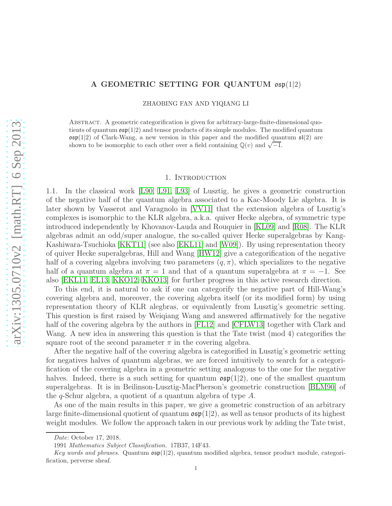# A GEOMETRIC SETTING FOR QUANTUM  $osp(1|2)$

ZHAOBING FAN AND YIQIANG LI

Abstract. A geometric categorification is given for arbitrary-large-finite-dimensional quotients of quantum  $\mathfrak{osp}(1|2)$  and tensor products of its simple modules. The modified quantum  $\mathfrak{osp}(1|2)$  of Clark-Wang, a new version in this paper and the modified quantum  $\mathfrak{sl}(2)$  are shown to be isomorphic to each other over a field containing  $\mathbb{Q}(v)$  and  $\sqrt{-1}$ .

#### 1. INTRODUCTION

<span id="page-0-0"></span>1.1. In the classical work [\[L90,](#page-20-0) [L91,](#page-20-1) [L93\]](#page-20-2) of Lusztig, he gives a geometric construction of the negative half of the quantum algebra associated to a Kac-Moody Lie algebra. It is later shown by Vasserot and Varagnolo in [\[VV11\]](#page-20-3) that the extension algebra of Lusztig's complexes is isomorphic to the KLR algebra, a.k.a. quiver Hecke algebra, of symmetric type introduced independently by Khovanov-Lauda and Rouquier in [\[KL09\]](#page-20-4) and [\[R08\]](#page-20-5). The KLR algebras admit an odd/super analogue, the so-called quiver Hecke superalgebras by Kang-Kashiwara-Tsuchioka [\[KKT11\]](#page-19-0) (see also [\[EKL11\]](#page-19-1) and [\[W09\]](#page-20-6)). By using representation theory of quiver Hecke superalgebras, Hill and Wang [\[HW12\]](#page-19-2) give a categorification of the negative half of a covering algebra involving two parameters  $(q, \pi)$ , which specializes to the negative half of a quantum algebra at  $\pi = 1$  and that of a quantum superalgebra at  $\pi = -1$ . See also [\[EKL11,](#page-19-1) [EL13,](#page-19-3) [KKO12,](#page-19-4) [KKO13\]](#page-19-5) for further progress in this active research direction.

To this end, it is natural to ask if one can categorify the negative part of Hill-Wang's covering algebra and, moreover, the covering algebra itself (or its modified form) by using representation theory of KLR alegbras, or equivalently from Lusztig's geometric setting. This question is first raised by Weiqiang Wang and answered affirmatively for the negative half of the covering algebra by the authors in [\[FL12\]](#page-19-6) and [\[CFLW13\]](#page-19-7) together with Clark and Wang. A new idea in answering this question is that the Tate twist (mod 4) categorifies the square root of the second parameter  $\pi$  in the covering algebra.

After the negative half of the covering algebra is categorified in Lusztig's geometric setting for negatives halves of quantum algebras, we are forced intuitively to search for a categorification of the covering algebra in a geometric setting analogous to the one for the negative halves. Indeed, there is a such setting for quantum  $\mathfrak{osp}(1|2)$ , one of the smallest quantum superalgebras. It is in Beilinson-Lusztig-MacPherson's geometric construction [\[BLM90\]](#page-19-8) of the q-Schur algebra, a quotient of a quantum algebra of type A.

As one of the main results in this paper, we give a geometric construction of an arbitrary large finite-dimensional quotient of quantum  $\exp(1|2)$ , as well as tensor products of its highest weight modules. We follow the approach taken in our previous work by adding the Tate twist,

Date: October 17, 2018.

<sup>1991</sup> Mathematics Subject Classification. 17B37, 14F43.

Key words and phrases. Quantum  $\mathfrak{osp}(1|2)$ , quantum modified algebra, tensor product module, categorification, perverse sheaf.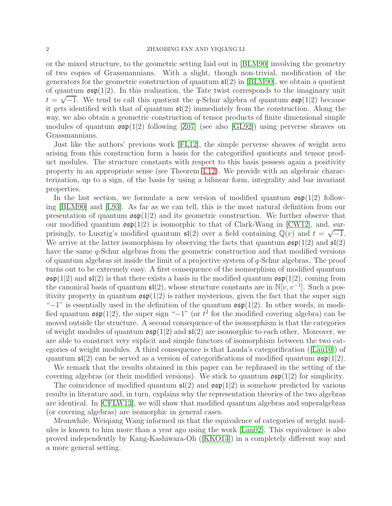or the mixed structure, to the geometric setting laid out in [\[BLM90\]](#page-19-8) involving the geometry of two copies of Grassmannians. With a slight, though non-trivial, modification of the generators for the geometric construction of quantum  $\mathfrak{sl}(2)$  in [\[BLM90\]](#page-19-8), we obtain a quotient of quantum  $\mathfrak{osp}(1|2)$ . In this realization, the Tate twist corresponds to the imaginary unit  $t = \sqrt{-1}$ . We tend to call this quotient the q-Schur algebra of quantum  $\mathfrak{osp}(1|2)$  because it gets identified with that of quantum  $\mathfrak{sl}(2)$  immediately from the construction. Along the way, we also obtain a geometric construction of tensor products of finite dimensional simple modules of quantum  $\mathfrak{osp}(1|2)$  following [\[Z07\]](#page-20-7) (see also [\[GL92\]](#page-19-9)) using perverse sheaves on Grassmannians.

Just like the authors' previous work [\[FL12\]](#page-19-6), the simple perverse sheaves of weight zero arising from this construction form a basis for the categorified quotients and tensor product modules. The structure constants with respect to this basis possess again a positivity property in an appropriate sense (see Theorem [4.12\)](#page-15-0). We provide with an algebraic characterization, up to a sign, of the basis by using a bilinear form, integrality and bar invariant properties.

In the last section, we formulate a new version of modified quantum  $\mathfrak{osp}(1|2)$  following [\[BLM90\]](#page-19-8) and [\[L93\]](#page-20-2). As far as we can tell, this is the most natural definition from our presentation of quantum  $\mathfrak{osp}(1|2)$  and its geometric construction. We further observe that our modified quantum  $\mathfrak{osp}(1|2)$  is isomorphic to that of Clark-Wang in [\[CW12\]](#page-19-10), and, surprisingly, to Lusztig's modified quantum  $\mathfrak{sl}(2)$  over a field containing  $\mathbb{Q}(v)$  and  $t = \sqrt{-1}$ . We arrive at the latter isomorphism by observing the facts that quantum  $\cos(1/2)$  and  $\sin(2)$ have the same q-Schur algebras from the geometric construction and that modified versions of quantum algebras sit inside the limit of a projective system of  $q$ -Schur algebras. The proof turns out to be extremely easy. A first consequence of the isomorphism of modified quantum  $\mathfrak{osp}(1|2)$  and  $\mathfrak{sl}(2)$  is that there exists a basis in the modified quantum  $\mathfrak{osp}(1|2)$ , coming from the canonical basis of quantum  $\mathfrak{sl}(2)$ , whose structure constants are in  $\mathbb{N}[v, v^{-1}]$ . Such a positivity property in quantum  $\cos(1/2)$  is rather mysterious, given the fact that the super sign  $-1$ " is essentially used in the definition of the quantum  $\exp(1/2)$ . In other words, in modified quantum  $\mathfrak{osp}(1|2)$ , the super sign "-1" (or  $t^2$  for the modified covering algebra) can be moved outside the structure. A second consequence of the isomorphism is that the categories of weight modules of quantum  $\mathfrak{osp}(1|2)$  and  $\mathfrak{sl}(2)$  are isomorphic to each other. Moreover, we are able to construct very explicit and simple functors of isomorphism between the two categories of weight modules. A third consequence is that Lauda's categorification ([\[Lau10\]](#page-20-8)) of quantum  $\mathfrak{sl}(2)$  can be served as a version of categorifications of modified quantum  $\mathfrak{osp}(1|2)$ .

We remark that the results obtained in this paper can be rephrased in the setting of the covering algebras (or their modified versions). We stick to quantum  $\mathfrak{osp}(1|2)$  for simplicity.

The coincidence of modified quantum  $\mathfrak{sl}(2)$  and  $\mathfrak{osp}(1|2)$  is somehow predicted by various results in literature and, in turn, explains why the representation theories of the two algebras are identical. In [\[CFLW13\]](#page-19-7), we will show that modified quantum algebras and superalgebras (or covering algebras) are isomorphic in general cases.

Meanwhile, Weiqiang Wang informed us that the equivalence of categories of weight modules is known to him more than a year ago using the work [\[Lan02\]](#page-20-9). This equivalence is also proved independently by Kang-Kashiwara-Oh ([\[KKO13\]](#page-19-5)) in a completely different way and a more general setting.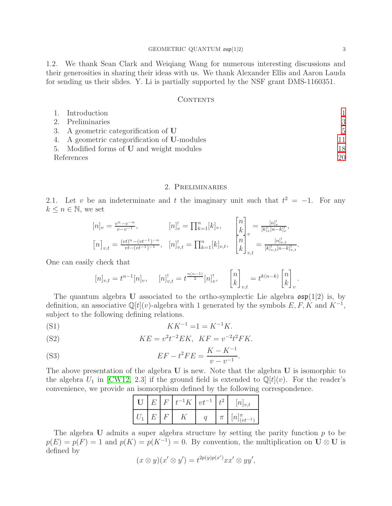#### GEOMETRIC QUANTUM  $\mathfrak{osp}(1|2)$  3

1.2. We thank Sean Clark and Weiqiang Wang for numerous interesting discussions and their generosities in sharing their ideas with us. We thank Alexander Ellis and Aaron Lauda for sending us their slides. Y. Li is partially supported by the NSF grant DMS-1160351.

#### CONTENTS

| 1. Introduction                                  |    |
|--------------------------------------------------|----|
| 2. Preliminaries                                 | 3  |
| 3. A geometric categorification of U             | .5 |
| 4. A geometric categorification of U-modules     | 11 |
| 5. Modified forms of <b>U</b> and weight modules | 18 |
| References                                       | 20 |

#### 2. Preliminaries

<span id="page-2-0"></span>2.1. Let v be an indeterminate and t the imaginary unit such that  $t^2 = -1$ . For any  $k \leq n \in \mathbb{N}$ , we set

$$
[n]_v = \frac{v^n - v^{-n}}{v - v^{-1}}, \t [n]_v^! = \prod_{k=1}^n [k]_v, \t \begin{bmatrix} n \\ k \\ n \end{bmatrix}_v = \frac{[n]_v^!}{[k]_v^! [n-k]_v^!},
$$

$$
[n]_{v,t} = \frac{(vt)^n - (vt^{-1})^{-n}}{vt - (vt^{-1})^{-1}}, \t [n]_{v,t}^! = \prod_{k=1}^n [k]_{v,t}, \t \begin{bmatrix} n \\ k \\ k \end{bmatrix}_v = \frac{[n]_v^!}{[k]_v^! [n-k]_v^!},
$$

One can easily check that

$$
[n]_{v,t} = t^{n-1}[n]_v, \quad [n]_{v,t}^! = t^{\frac{n(n-1)}{2}}[n]_v^!, \quad \begin{bmatrix} n \\ k \end{bmatrix}_{v,t} = t^{k(n-k)} \begin{bmatrix} n \\ k \end{bmatrix}_v.
$$

The quantum algebra U associated to the ortho-symplectic Lie algebra  $\mathfrak{osp}(1|2)$  is, by definition, an associative  $\mathbb{Q}[t](v)$ -algebra with 1 generated by the symbols  $E, F, K$  and  $K^{-1}$ , subject to the following defining relations.

(S1) 
$$
KK^{-1} = 1 = K^{-1}K.
$$

(S2) 
$$
KE = v^2 t^{-2} E K, \quad KF = v^{-2} t^2 F K.
$$

(S3) 
$$
EF - t^2 FE = \frac{K - K^{-1}}{v - v^{-1}}.
$$

The above presentation of the algebra U is new. Note that the algebra U is isomorphic to the algebra  $U_1$  in [\[CW12,](#page-19-10) 2.3] if the ground field is extended to  $\mathbb{Q}[t](v)$ . For the reader's convenience, we provide an isomorphism defined by the following correspondence.

| $\mathbf{U}$ | $\overline{F}$ | $E \mid F \mid t^{-1}K \mid vt^{-1} \mid$ |           | $n _{v,t}$                                                                                                                                                                  |
|--------------|----------------|-------------------------------------------|-----------|-----------------------------------------------------------------------------------------------------------------------------------------------------------------------------|
|              |                |                                           | $+ \pi +$ | $\cdot$ $\eta$ <sub><math>\alpha</math></sub> $\pi$ <sub><math>\alpha</math></sub> $\alpha$ <sub><math>\alpha</math></sub> $\alpha$ <sub><math>\alpha</math></sub> $\alpha$ |

The algebra  $U$  admits a super algebra structure by setting the parity function  $p$  to be  $p(E) = p(F) = 1$  and  $p(K) = p(K^{-1}) = 0$ . By convention, the multiplication on  $U \otimes U$  is defined by

$$
(x \otimes y)(x' \otimes y') = t^{2p(y)p(x')}xx' \otimes yy',
$$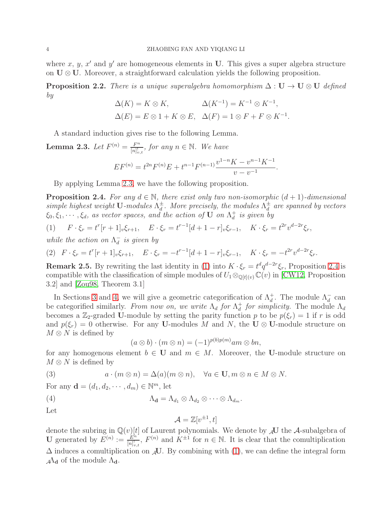where  $x, y, x'$  and  $y'$  are homogeneous elements in U. This gives a super algebra structure on  $U \otimes U$ . Moreover, a straightforward calculation yields the following proposition.

**Proposition 2.2.** There is a unique superalgebra homomorphism  $\Delta : U \to U \otimes U$  defined by

$$
\Delta(K) = K \otimes K, \qquad \Delta(K^{-1}) = K^{-1} \otimes K^{-1},
$$
  

$$
\Delta(E) = E \otimes 1 + K \otimes E, \quad \Delta(F) = 1 \otimes F + F \otimes K^{-1}.
$$

A standard induction gives rise to the following Lemma.

<span id="page-3-0"></span>**Lemma 2.3.** Let 
$$
F^{(n)} = \frac{F^n}{[n]_{v,t}^1}
$$
, for any  $n \in \mathbb{N}$ . We have  
\n
$$
EF^{(n)} = t^{2n}F^{(n)}E + t^{n-1}F^{(n-1)}\frac{v^{1-n}K - v^{n-1}K^{-1}}{v - v^{-1}}.
$$

By applying Lemma [2.3,](#page-3-0) we have the following proposition.

<span id="page-3-2"></span>**Proposition 2.4.** For any  $d \in \mathbb{N}$ , there exist only two non-isomorphic  $(d+1)$ -dimensional simple highest weight **U**-modules  $\Lambda_d^{\pm}$  $\frac{1}{d}$ . More precisely, the modules  $\Lambda_d^{\pm}$  $_d^{\pm}$  are spanned by vectors  $\xi_0, \xi_1, \cdots, \xi_d$ , as vector spaces, and the action of **U** on  $\Lambda_d^+$  $_d^+$  is given by

<span id="page-3-1"></span>(1) 
$$
F \cdot \xi_r = t^r [r+1]_v \xi_{r+1}, \quad E \cdot \xi_r = t^{r-1} [d+1-r]_v \xi_{r-1}, \quad K \cdot \xi_r = t^{2r} v^{d-2r} \xi_r,
$$

while the action on  $\Lambda_d^ \overline{d}$  is given by

(2)  $F \cdot \xi_r = t^r [r+1]_v \xi_{r+1}, \quad E \cdot \xi_r = -t^{r-1} [d+1-r]_v \xi_{r-1}, \quad K \cdot \xi_r = -t^{2r} v^{d-2r} \xi_r.$ 

**Remark 2.5.** By rewriting the last identity in [\(1\)](#page-3-1) into  $K \cdot \xi_r = t^d q^{d-2r} \xi_r$ , Proposition [2.4](#page-3-2) is compatible with the classification of simple modules of  $U_1 \otimes_{\mathbb{Q}[t](v)} \mathbb{C}(v)$  in [\[CW12,](#page-19-10) Proposition 3.2] and [\[Zou98,](#page-20-10) Theorem 3.1]

In Sections [3](#page-4-0) and [4,](#page-10-0) we will give a geometric categorification of  $\Lambda_d^+$ . The module  $\Lambda_d^-$  can be categorified similarly. From now on, we write  $\Lambda_d$  for  $\Lambda_d^+$  $_d^+$  *for simplicity*. The module  $\Lambda_d$ becomes a  $\mathbb{Z}_2$ -graded U-module by setting the parity function p to be  $p(\xi_r) = 1$  if r is odd and  $p(\xi_r) = 0$  otherwise. For any U-modules M and N, the U  $\otimes$  U-module structure on  $M \otimes N$  is defined by

<span id="page-3-4"></span>
$$
(a\otimes b)\cdot(m\otimes n)=(-1)^{p(b)p(m)}am\otimes bn,
$$

for any homogenous element  $b \in U$  and  $m \in M$ . Moreover, the U-module structure on  $M \otimes N$  is defined by

(3) 
$$
a \cdot (m \otimes n) = \Delta(a)(m \otimes n), \quad \forall a \in \mathbf{U}, m \otimes n \in M \otimes N.
$$

For any  $\mathbf{d} = (d_1, d_2, \cdots, d_m) \in \mathbb{N}^m$ , let

(4)  $\Lambda_{\mathbf{d}} = \Lambda_{d_1} \otimes \Lambda_{d_2} \otimes \cdots \otimes \Lambda_{d_m}.$ 

Let

<span id="page-3-3"></span>
$$
\mathcal{A} = \mathbb{Z}[v^{\pm 1}, t]
$$

denote the subring in  $\mathbb{Q}(v)[t]$  of Laurent polynomials. We denote by  $\mathcal{A}$ U the A-subalgebra of U generated by  $E^{(n)} := \frac{E^{n}}{[n]_{v,t}!}$ ,  $F^{(n)}$  and  $K^{\pm 1}$  for  $n \in \mathbb{N}$ . It is clear that the comultiplication  $\Delta$  induces a comultiplication on  $\mathcal{A}$ U. By combining with [\(1\)](#page-3-1), we can define the integral form  $_A\Lambda_d$  of the module  $\Lambda_d$ .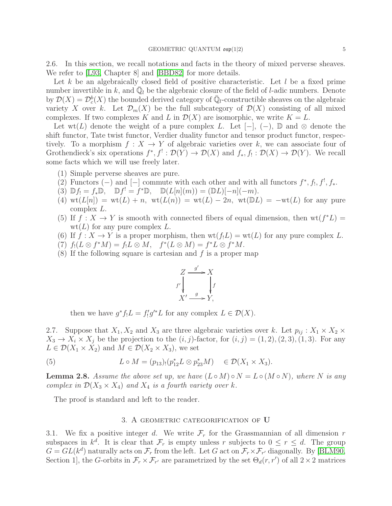<span id="page-4-1"></span>2.6. In this section, we recall notations and facts in the theory of mixed perverse sheaves. We refer to [\[L93,](#page-20-2) Chapter 8] and [\[BBD82\]](#page-19-12) for more details.

Let k be an algebraically closed field of positive characteristic. Let  $l$  be a fixed prime number invertible in k, and  $\overline{\mathbb{Q}}_l$  be the algebraic closure of the field of l-adic numbers. Denote by  $\mathcal{D}(X) = \mathcal{D}_c^b(X)$  the bounded derived category of  $\overline{\mathbb{Q}}_l$ -constructible sheaves on the algebraic variety X over k. Let  $\mathcal{D}_m(X)$  be the full subcategory of  $\mathcal{D}(X)$  consisting of all mixed complexes. If two complexes K and L in  $\mathcal{D}(X)$  are isomorphic, we write  $K = L$ .

Let wt(L) denote the weight of a pure complex L. Let  $[-], (-), \mathbb{D}$  and  $\otimes$  denote the shift functor, Tate twist functor, Verdier duality functor and tensor product functor, respectively. To a morphism  $f: X \to Y$  of algebraic varieties over k, we can associate four of Grothendieck's six operations  $f^*, f' : \mathcal{D}(Y) \to \mathcal{D}(X)$  and  $f_*, f_! : \mathcal{D}(X) \to \mathcal{D}(Y)$ . We recall some facts which we will use freely later.

- (1) Simple perverse sheaves are pure.
- (2) Functors  $(-)$  and  $[-]$  commute with each other and with all functors  $f^*, f_1, f^!, f_*, f^*$ .
- (3)  $\mathbb{D}f_! = f_*\mathbb{D}$ ,  $\mathbb{D}f'_! = f^*\mathbb{D}$ ,  $\mathbb{D}(L[n](m)) = (\mathbb{D}L)[-n](-m)$ .
- (4)  $\text{wt}(L[n]) = \text{wt}(L) + n$ ,  $\text{wt}(L(n)) = \text{wt}(L) 2n$ ,  $\text{wt}(\mathbb{D}L) = -\text{wt}(L)$  for any pure complex L.
- (5) If  $f: X \to Y$  is smooth with connected fibers of equal dimension, then  $wt(f^*L)$  =  $wt(L)$  for any pure complex L.
- (6) If  $f: X \to Y$  is a proper morphism, then  $wt(f_!L) = wt(L)$  for any pure complex L.
- $f: (Z)$   $f: (L \otimes f^*M) = f_!L \otimes M$ ,  $f^*(L \otimes M) = f^*L \otimes f^*M$ .
- $(8)$  If the following square is cartesian and f is a proper map



then we have  $g^*f_!L = f'_!g'^*L$  for any complex  $L \in \mathcal{D}(X)$ .

2.7. Suppose that  $X_1, X_2$  and  $X_3$  are three algebraic varieties over k. Let  $p_{ij}: X_1 \times X_2 \times$  $X_3 \to X_i \times X_j$  be the projection to the  $(i, j)$ -factor, for  $(i, j) = (1, 2), (2, 3), (1, 3)$ . For any  $L \in \mathcal{D}(X_1 \times X_2)$  and  $M \in \mathcal{D}(X_2 \times X_3)$ , we set

(5) 
$$
L \circ M = (p_{13}) \cdot (p_{12}^* L \otimes p_{23}^* M) \in \mathcal{D}(X_1 \times X_3).
$$

<span id="page-4-3"></span>**Lemma 2.8.** Assume the above set up, we have  $(L \circ M) \circ N = L \circ (M \circ N)$ , where N is any complex in  $\mathcal{D}(X_3 \times X_4)$  and  $X_4$  is a fourth variety over k.

<span id="page-4-0"></span>The proof is standard and left to the reader.

#### <span id="page-4-2"></span>3. A GEOMETRIC CATEGORIFICATION OF U

3.1. We fix a positive integer d. We write  $\mathcal{F}_r$  for the Grassmannian of all dimension r subspaces in  $k^d$ . It is clear that  $\mathcal{F}_r$  is empty unless r subjects to  $0 \le r \le d$ . The group  $G = GL(k^d)$  naturally acts on  $\mathcal{F}_r$  from the left. Let G act on  $\mathcal{F}_r \times \mathcal{F}_{r'}$  diagonally. By [\[BLM90,](#page-19-8) Section 1, the G-orbits in  $\mathcal{F}_r \times \mathcal{F}_{r'}$  are parametrized by the set  $\Theta_d(r,r')$  of all  $2 \times 2$  matrices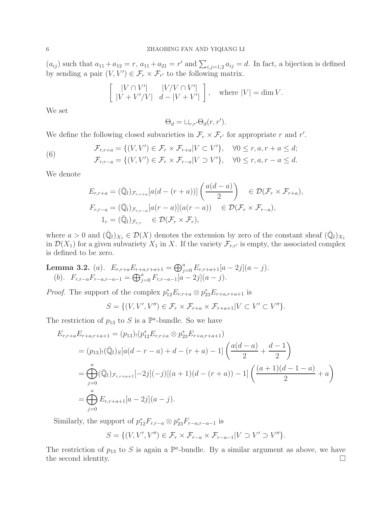$(a_{ij})$  such that  $a_{11} + a_{12} = r$ ,  $a_{11} + a_{21} = r'$  and  $\sum_{i,j=1,2} a_{ij} = d$ . In fact, a bijection is defined by sending a pair  $(V, V') \in \mathcal{F}_r \times \mathcal{F}_{r'}$  to the following matrix.

$$
\begin{bmatrix} |V \cap V'| & |V/V \cap V'| \\ |V + V'/V| & d - |V + V'| \end{bmatrix}
$$
, where  $|V| = \dim V$ .

We set

$$
\Theta_d = \sqcup_{r,r'} \Theta_d(r,r').
$$

We define the following closed subvarieties in  $\mathcal{F}_r \times \mathcal{F}_{r'}$  for appropriate r and r'.

<span id="page-5-1"></span>(6) 
$$
\mathcal{F}_{r,r+a} = \{ (V, V') \in \mathcal{F}_r \times \mathcal{F}_{r+a} | V \subset V' \}, \quad \forall 0 \le r, a, r+a \le d; \n\mathcal{F}_{r,r-a} = \{ (V, V') \in \mathcal{F}_r \times \mathcal{F}_{r-a} | V \supset V' \}, \quad \forall 0 \le r, a, r-a \le d.
$$

We denote

$$
E_{r,r+a} = (\bar{\mathbb{Q}}_l)_{\mathcal{F}_{r,r+a}} [a(d-(r+a))] \left( \frac{a(d-a)}{2} \right) \in \mathcal{D}(\mathcal{F}_r \times \mathcal{F}_{r+a}),
$$
  
\n
$$
F_{r,r-a} = (\bar{\mathbb{Q}}_l)_{\mathcal{F}_{r,r-a}} [a(r-a)] (a(r-a)) \in \mathcal{D}(\mathcal{F}_r \times \mathcal{F}_{r-a}),
$$
  
\n
$$
1_r = (\bar{\mathbb{Q}}_l)_{\mathcal{F}_{r,r}} \in \mathcal{D}(\mathcal{F}_r \times \mathcal{F}_r),
$$

where  $a > 0$  and  $(\bar{\mathbb{Q}}_l)_{X_1} \in \mathcal{D}(X)$  denotes the extension by zero of the constant sheaf  $(\bar{\mathbb{Q}}_l)_{X_1}$ in  $\mathcal{D}(X_1)$  for a given subvariety  $X_1$  in X. If the variety  $\mathcal{F}_{r,r'}$  is empty, the associated complex is defined to be zero.

<span id="page-5-0"></span>Lemma 3.2. (a).  $E_{r,r+a}E_{r+a,r+a+1} = \bigoplus_{j=0}^{a} E_{r,r+a+1}[a-2j](a-j).$ (b).  $F_{r,r-a}F_{r-a,r-a-1} = \bigoplus_{j=0}^{a} F_{r,r-a-1}[a-2j](a-j).$ 

*Proof.* The support of the complex  $p_{12}^*E_{r,r+a} \otimes p_{23}^*E_{r+a,r+a+1}$  is

$$
S = \{ (V, V', V'') \in \mathcal{F}_r \times \mathcal{F}_{r+a} \times \mathcal{F}_{r+a+1} | V \subset V' \subset V'' \}.
$$

The restriction of  $p_{13}$  to S is a  $\mathbb{P}^a$ -bundle. So we have

$$
E_{r,r+a}E_{r+a,r+a+1} = (p_{13}) \cdot (p_{12}^*E_{r,r+a} \otimes p_{23}^*E_{r+a,r+a+1})
$$
  
\n
$$
= (p_{13}) \cdot (\bar{Q}_l)_S [a(d-r-a) + d - (r+a) - 1] \left( \frac{a(d-a)}{2} + \frac{d-1}{2} \right)
$$
  
\n
$$
= \bigoplus_{j=0}^a (\bar{Q}_l)_{\mathcal{F}_{r,r+a+1}} [-2j] (-j) [(a+1)(d-(r+a))-1] \left( \frac{(a+1)(d-1-a)}{2} + a \right)
$$
  
\n
$$
= \bigoplus_{j=0}^a E_{r,r+a+1}[a-2j](a-j).
$$

Similarly, the support of  $p_{12}^*F_{r,r-a}\otimes p_{23}^*F_{r-a,r-a-1}$  is

$$
S = \{ (V, V', V'') \in \mathcal{F}_r \times \mathcal{F}_{r-a} \times \mathcal{F}_{r-a-1} | V \supset V' \supset V'' \}.
$$

The restriction of  $p_{13}$  to S is again a  $\mathbb{P}^a$ -bundle. By a similar argument as above, we have the second identity.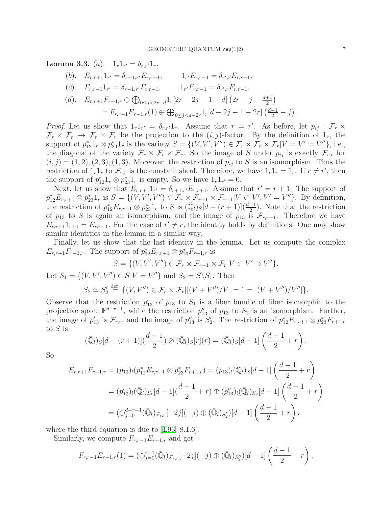<span id="page-6-0"></span>**Lemma 3.3.** (*a*).  $1_r 1_{r'} = \delta_{r,r'} 1_r$ .

- (b).  $E_{r,r+1}1_{r'} = \delta_{r+1,r'}E_{r,r+1},$   $1_r$  $E_{r,r+1} = \delta_{r',r} E_{r,r+1}.$
- (c).  $F_{r,r-1}1_{r'} = \delta_{r-1,r'}F_{r,r-1},$  1<sub>r</sub>  $F_{r,r-1} = \delta_{r',r} F_{r,r-1}.$

$$
\begin{aligned} (d). \quad E_{r,r+1}F_{r+1,r} &\oplus \bigoplus_{0 \le j < 2r-d} 1_r[2r-2j-1-d] \left(2r-j-\frac{d+1}{2}\right) \\ &= F_{r,r-1}E_{r-1,r}(1) \oplus \bigoplus_{0 \le j < d-2r} 1_r[d-2j-1-2r] \left(\frac{d-1}{2}-j\right) \end{aligned}
$$

*Proof.* Let us show that  $1_r 1_{r'} = \delta_{r,r'} 1_r$ . Assume that  $r = r'$ . As before, let  $p_{ij} : \mathcal{F}_r \times$  $\mathcal{F}_r \times \mathcal{F}_r \to \mathcal{F}_r \times \mathcal{F}_r$  be the projection to the  $(i, j)$ -factor. By the definition of  $1_r$ , the support of  $p_{12}^* 1_r \otimes p_{23}^* 1_r$  is the variety  $S = \{(V, V', V'') \in \mathcal{F}_r \times \mathcal{F}_r \times \mathcal{F}_r | V = V' = V''\}$ , i.e., the diagonal of the variety  $\mathcal{F}_r \times \mathcal{F}_r \times \mathcal{F}_r$ . So the image of S under  $p_{ij}$  is exactly  $\mathcal{F}_{r,r}$  for  $(i, j) = (1, 2), (2, 3), (1, 3)$ . Moreover, the restriction of  $p_{ij}$  to S is an isomorphism. Thus the restriction of  $1_r 1_r$  to  $\mathcal{F}_{r,r}$  is the constant sheaf. Therefore, we have  $1_r 1_r = 1_r$ . If  $r \neq r'$ , then the support of  $p_{12}^* 1_r \otimes p_{23}^* 1_r$  is empty. So we have  $1_r 1_{r'} = 0$ .

Next, let us show that  $E_{r,r+1}1_{r'} = \delta_{r+1,r'}E_{r,r+1}$ . Assume that  $r' = r+1$ . The support of  $p_{12}^*E_{r,r+1}\otimes p_{23}^*1_r$  is  $S = \{(V, V', V'')\in \mathcal{F}_r\times \mathcal{F}_{r+1}\times \mathcal{F}_{r+1}|V\subset V', V'=V''\}$ . By definition, the restriction of  $p_{12}^*E_{r,r+1}\otimes p_{23}^*1_r$  to S is  $(\overline{\mathbb{Q}}_l)_S[d-(r+1)](\frac{d-1}{2})$ . Note that the restriction of  $p_{13}$  to S is again an isomorphism, and the image of  $p_{13}$  is  $\mathcal{F}_{r,r+1}$ . Therefore we have  $E_{r,r+1}1_{r+1} = E_{r,r+1}$ . For the case of  $r' \neq r$ , the identity holds by definitions. One may show similar identities in the lemma in a similar way.

Finally, let us show that the last identity in the lemma. Let us compute the complex  $E_{r,r+1}F_{r+1,r}$ . The support of  $p_{12}^*E_{r,r+1}\otimes p_{23}^*F_{r+1,r}$  is

$$
S = \{ (V, V', V'') \in \mathcal{F}_r \times \mathcal{F}_{r+1} \times \mathcal{F}_r | V \subset V' \supset V'' \}.
$$

Let  $S_1 = \{(V, V', V'') \in S | V = V''\}$  and  $S_2 = S \setminus S_1$ . Then

$$
S_2 \simeq S_2' \stackrel{\text{def.}}{=} \{ (V, V'') \in \mathcal{F}_r \times \mathcal{F}_r | |(V + V'')/V| = 1 = |(V + V'')/V''| \}.
$$

Observe that the restriction  $p'_{13}$  of  $p_{13}$  to  $S_1$  is a fiber bundle of fiber isomorphic to the projective space  $\mathbb{P}^{d-r-1}$ , while the restriction  $p''_{13}$  of  $p_{13}$  to  $S_2$  is an isomorphism. Further, the image of  $p'_{13}$  is  $\mathcal{F}_{r,r}$ , and the image of  $p''_{13}$  is  $S'_2$ . The restriction of  $p^*_{12}E_{r,r+1}\otimes p^*_{23}F_{r+1,r}$ to  $S$  is

$$
(\overline{\mathbb{Q}}_l)_S[d-(r+1)](\frac{d-1}{2})\otimes(\overline{\mathbb{Q}}_l)_S[r](r)=(\overline{\mathbb{Q}}_l)_S[d-1]\left(\frac{d-1}{2}+r\right).
$$

So

$$
E_{r,r+1}F_{r+1,r} = (p_{13})_!(p_{12}^*E_{r,r+1} \otimes p_{23}^*F_{r+1,r}) = (p_{13})_!(\bar{\mathbb{Q}}_l)_S[d-1] \left(\frac{d-1}{2} + r\right)
$$
  

$$
= (p'_{13})_!(\bar{\mathbb{Q}}_l)_{S_1}[d-1] \left(\frac{d-1}{2} + r\right) \oplus (p''_{13})_!(\bar{\mathbb{Q}}_l)_{S_2}[d-1] \left(\frac{d-1}{2} + r\right)
$$
  

$$
= (\bigoplus_{j=0}^{d-r-1} (\bar{\mathbb{Q}}_l)_{\mathcal{F}_{r,r}}[-2j](-j) \oplus (\bar{\mathbb{Q}}_l)_{S_2'}[d-1] \left(\frac{d-1}{2} + r\right),
$$

where the third equation is due to [\[L93,](#page-20-2) 8.1.6].

Similarly, we compute  $F_{r,r-1}E_{r-1,r}$  and get

$$
F_{r,r-1}E_{r-1,r}(1)=(\bigoplus_{j=0}^{r-1}(\bar{Q}_l)_{\mathcal{F}_{r,r}}[-2j](-j)\oplus(\bar{Q}_l)_{S''_2})[d-1]\left(\frac{d-1}{2}+r\right),\,
$$

.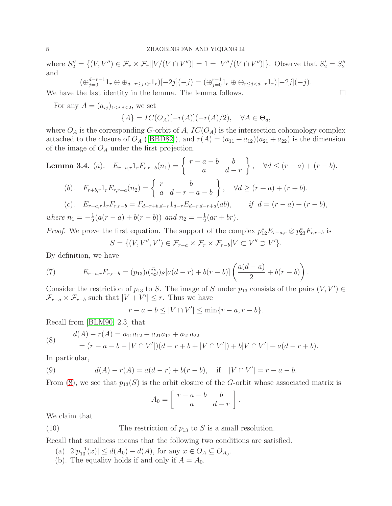where  $S_2'' = \{(V, V'') \in \mathcal{F}_r \times \mathcal{F}_r | |V/(V \cap V'')| = 1 = |V''/(V \cap V'')| \}$ . Observe that  $S_2' = S_2''$ and

$$
(\oplus_{j=0}^{d-r-1} 1_r \oplus \oplus_{d-r \le j < r} 1_r)[-2j](-j) = (\oplus_{j=0}^{r-1} 1_r \oplus \oplus_{r \le j < d-r} 1_r)[-2j](-j).
$$
  
the last identity in the lemma. The lemma follows

We have the last identity in the lemma. The lemma follows.

For any  $A = (a_{ij})_{1 \leq i,j \leq 2}$ , we set

 ${A} = IC(O_A)[-r(A)](-r(A)/2), \quad \forall A \in \Theta_d,$ 

where  $O_A$  is the corresponding G-orbit of A,  $IC(O_A)$  is the intersection cohomology complex attached to the closure of  $O_A$  ([\[BBD82\]](#page-19-12)), and  $r(A) = (a_{11} + a_{12})(a_{21} + a_{22})$  is the dimension of the image of  $O_A$  under the first projection.

<span id="page-7-4"></span>**Lemma 3.4.** (a). 
$$
E_{r-a,r}1_r F_{r,r-b}(n_1) = \begin{cases} r-a-b & b \ a & d-r \end{cases}
$$
,  $\forall d \leq (r-a) + (r-b)$ .  
\n(b).  $F_{r+b,r}1_r E_{r,r+a}(n_2) = \begin{cases} r & b \ a & d-r-a-b \end{cases}$ ,  $\forall d \geq (r+a) + (r+b)$ .  
\n(c).  $E_{r-a,r}1_r F_{r,r-b} = F_{d-r+b,d-r}1_{d-r} E_{d-r,d-r+a}(ab)$ , if  $d = (r-a) + (r-b)$ ,  
\nwhere  $n_1 = -\frac{1}{2}(a(r-a) + b(r-b))$  and  $n_2 = -\frac{1}{2}(ar+br)$ .

*Proof.* We prove the first equation. The support of the complex  $p_{12}^*E_{r-a,r}\otimes p_{23}^*F_{r,r-b}$  is  $S = \{ (V, V'', V') \in \mathcal{F}_{r-a} \times \mathcal{F}_r \times \mathcal{F}_{r-b} | V \subset V'' \supset V' \}.$ 

By definition, we have

<span id="page-7-1"></span>(7) 
$$
E_{r-a,r}F_{r,r-b} = (p_{13})_!(\bar{\mathbb{Q}}_l)_S[a(d-r)+b(r-b)]\left(\frac{a(d-a)}{2}+b(r-b)\right).
$$

Consider the restriction of  $p_{13}$  to S. The image of S under  $p_{13}$  consists of the pairs  $(V, V') \in$  $\mathcal{F}_{r-a} \times \mathcal{F}_{r-b}$  such that  $|V + V'| \leq r$ . Thus we have

 $r - a - b \le |V \cap V'| \le \min\{r - a, r - b\}.$ 

Recall from [\[BLM90,](#page-19-8) 2.3] that

<span id="page-7-0"></span>(8) 
$$
d(A) - r(A) = a_{11}a_{12} + a_{21}a_{12} + a_{21}a_{22}
$$

$$
= (r - a - b - |V \cap V'|)(d - r + b + |V \cap V'|) + b|V \cap V'| + a(d - r + b).
$$

In particular,

<span id="page-7-2"></span>(9) 
$$
d(A) - r(A) = a(d - r) + b(r - b), \text{ if } |V \cap V'| = r - a - b.
$$

From [\(8\)](#page-7-0), we see that  $p_{13}(S)$  is the orbit closure of the G-orbit whose associated matrix is

<span id="page-7-3"></span>
$$
A_0 = \left[ \begin{array}{rr} r - a - b & b \\ a & d - r \end{array} \right].
$$

We claim that

(10) The restriction of  $p_{13}$  to S is a small resolution.

Recall that smallness means that the following two conditions are satisfied.

- (a).  $2|p_{13}^{-1}(x)| \leq d(A_0) d(A)$ , for any  $x \in O_A \subseteq O_{A_0}$ .
- (b). The equality holds if and only if  $A = A_0$ .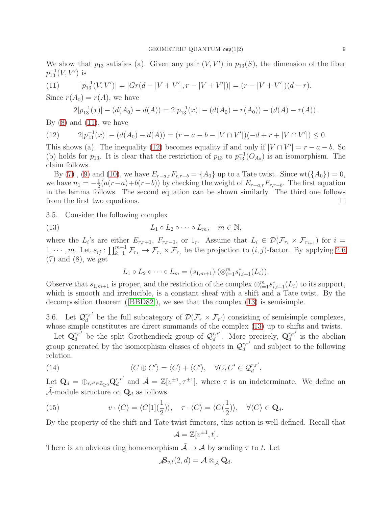We show that  $p_{13}$  satisfies (a). Given any pair  $(V, V')$  in  $p_{13}(S)$ , the dimension of the fiber  $p_{13}^{-1}(V, V')$  is

(11) 
$$
|p_{13}^{-1}(V,V')| = |Gr(d - |V + V'|, r - |V + V'|)| = (r - |V + V'|)(d - r).
$$

Since  $r(A_0) = r(A)$ , we have

<span id="page-8-1"></span><span id="page-8-0"></span>
$$
2|p_{13}^{-1}(x)| - (d(A_0) - d(A)) = 2|p_{13}^{-1}(x)| - (d(A_0) - r(A_0)) - (d(A) - r(A)).
$$

By  $(8)$  and  $(11)$ , we have

(12) 
$$
2|p_{13}^{-1}(x)| - (d(A_0) - d(A)) = (r - a - b - |V \cap V'|)(-d + r + |V \cap V'|) \leq 0.
$$

This shows (a). The inequality [\(12\)](#page-8-1) becomes equality if and only if  $|V \cap V'| = r - a - b$ . So (b) holds for  $p_{13}$ . It is clear that the restriction of  $p_{13}$  to  $p_{13}^{-1}(O_{A_0})$  is an isomorphism. The claim follows.

By [\(7\)](#page-7-1), [\(9\)](#page-7-2) and [\(10\)](#page-7-3), we have  $E_{r-a,r}F_{r,r-b} = \{A_0\}$  up to a Tate twist. Since wt $(\{A_0\}) = 0$ , we have  $n_1 = -\frac{1}{2}$  $\frac{1}{2}(a(r-a)+b(r-b))$  by checking the weight of  $E_{r-a,r}F_{r,r-b}$ . The first equation in the lemma follows. The second equation can be shown similarly. The third one follows from the first two equations.

<span id="page-8-6"></span>3.5. Consider the following complex

<span id="page-8-2"></span>(13) 
$$
L_1 \circ L_2 \circ \cdots \circ L_m, \quad m \in \mathbb{N},
$$

where the  $L_i$ 's are either  $E_{r,r+1}$ ,  $F_{r,r-1}$ , or  $1_r$ . Assume that  $L_i \in \mathcal{D}(\mathcal{F}_{r_i} \times \mathcal{F}_{r_{i+1}})$  for  $i =$  $1, \dots, m$ . Let  $s_{ij} : \prod_{k=1}^{m+1} \mathcal{F}_{r_k} \to \mathcal{F}_{r_i} \times \mathcal{F}_{r_j}$  be the projection to  $(i, j)$ -factor. By applying [2.6](#page-4-1) (7) and (8), we get

$$
L_1 \circ L_2 \circ \cdots \circ L_m = (s_{1,m+1}) \circ (\otimes_{i=1}^m s_{i,i+1}^*(L_i)).
$$

Observe that  $s_{1,m+1}$  is proper, and the restriction of the complex  $\otimes_{i=1}^m s_{i,i+1}(L_i)$  to its support, which is smooth and irreducible, is a constant sheaf with a shift and a Tate twist. By the decomposition theorem ([\[BBD82\]](#page-19-12)), we see that the complex [\(13\)](#page-8-2) is semisimple.

<span id="page-8-5"></span>3.6. Let  $\mathcal{Q}_d^{r,r'}$  $\mathcal{D}(\mathcal{F}_r \times \mathcal{F}_{r'})$  consisting of semisimple complexes, whose simple constitutes are direct summands of the complex [\(13\)](#page-8-2) up to shifts and twists.

Let  $\mathbf{Q}_{d}^{r,r'}$  $d_d^{r,r'}$  be the split Grothendieck group of  $\mathcal{Q}_d^{r,r'}$  $\mathbf{q}_{d}^{r,r'}$ . More precisely,  $\mathbf{Q}_{d}^{r,r'}$  $\frac{r,r}{d}$  is the abelian group generated by the isomorphism classes of objects in  $\mathcal{Q}_d^{r,r'}$  $\frac{r,r}{d}$  and subject to the following relation.

(14) 
$$
\langle C \oplus C' \rangle = \langle C \rangle + \langle C' \rangle, \quad \forall C, C' \in \mathcal{Q}_d^{r,r'}.
$$

Let  $\mathbf{Q}_d = \oplus_{r,r'\in \mathbb{Z}_{\geq 0}} \mathbf{Q}_d^{r,r'}$  $d_d^{r,r'}$  and  $\tilde{\mathcal{A}} = \mathbb{Z}[v^{\pm 1}, \tau^{\pm 1}]$ , where  $\tau$  is an indeterminate. We define an  $\mathcal{A}$ -module structure on  $\mathbf{Q}_d$  as follows.

<span id="page-8-3"></span>(15) 
$$
v \cdot \langle C \rangle = \langle C[1](\frac{1}{2}) \rangle, \quad \tau \cdot \langle C \rangle = \langle C(\frac{1}{2}) \rangle, \quad \forall \langle C \rangle \in \mathbf{Q}_d.
$$

By the property of the shift and Tate twist functors, this action is well-defined. Recall that

<span id="page-8-4"></span>
$$
\mathcal{A} = \mathbb{Z}[v^{\pm 1}, t].
$$

There is an obvious ring homomorphism  $\tilde{\mathcal{A}} \to \mathcal{A}$  by sending  $\tau$  to t. Let

$$
\mathcal{A} \mathbf{S}_{v,t}(2,d) = \mathcal{A} \otimes_{\tilde{\mathcal{A}}} \mathbf{Q}_d.
$$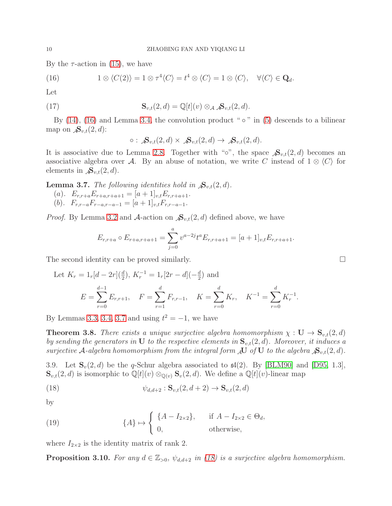By the  $\tau$ -action in [\(15\)](#page-8-3), we have

<span id="page-9-0"></span>(16) 
$$
1 \otimes \langle C(2) \rangle = 1 \otimes \tau^4 \langle C \rangle = t^4 \otimes \langle C \rangle = 1 \otimes \langle C \rangle, \quad \forall \langle C \rangle \in \mathbf{Q}_d.
$$

Let

(17) 
$$
\mathbf{S}_{v,t}(2,d) = \mathbb{Q}[t](v) \otimes_{\mathcal{A}} {\mathcal{A}} \mathbf{S}_{v,t}(2,d).
$$

By  $(14)$ ,  $(16)$  and Lemma [3.4,](#page-7-4) the convolution product " $\circ$ " in  $(5)$  descends to a bilinear map on  $\mathcal{A}S_{v,t}(2,d)$ :

$$
\circ : \mathcal{A} \mathbf{S}_{v,t}(2,d) \times \mathcal{A} \mathbf{S}_{v,t}(2,d) \to \mathcal{A} \mathbf{S}_{v,t}(2,d).
$$

It is associative due to Lemma [2.8.](#page-4-3) Together with "∘", the space  $\mathcal{A}S_{v,t}(2, d)$  becomes an associative algebra over A. By an abuse of notation, we write C instead of  $1 \otimes \langle C \rangle$  for elements in  $\mathcal{A}S_{v,t}(2,d)$ .

<span id="page-9-1"></span>**Lemma 3.7.** The following identities hold in  $\mathcal{A}S_{v,t}(2, d)$ .

(a).  $E_{r,r+a}E_{r+a,r+a+1} = [a+1]_{v,t}E_{r,r+a+1}.$ (b).  $F_{r,r-a}F_{r-a,r-a-1} = [a+1]_{v,t}F_{r,r-a-1}.$ 

*Proof.* By Lemma [3.2](#page-5-0) and A-action on  $\mathcal{S}_{v,t}(2, d)$  defined above, we have

$$
E_{r,r+a} \circ E_{r+a,r+a+1} = \sum_{j=0}^{a} v^{a-2j} t^a E_{r,r+a+1} = [a+1]_{v,t} E_{r,r+a+1}.
$$

The second identity can be proved similarly.

Let 
$$
K_r = 1_r[d - 2r](\frac{d}{2}), K_r^{-1} = 1_r[2r - d](-\frac{d}{2})
$$
 and  
\n
$$
E = \sum_{r=0}^{d-1} E_{r,r+1}, \quad F = \sum_{r=1}^{d} F_{r,r-1}, \quad K = \sum_{r=0}^{d} K_r, \quad K^{-1} = \sum_{r=0}^{d} K_r^{-1}.
$$

By Lemmas [3.3,](#page-6-0) [3.4,](#page-7-4) [3.7](#page-9-1) and using  $t^2 = -1$ , we have

**Theorem 3.8.** There exists a unique surjective algebra homomorphism  $\chi : \mathbf{U} \to \mathbf{S}_{v,t}(2,d)$ by sending the generators in U to the respective elements in  $S_{v,t}(2, d)$ . Moreover, it induces a surjective A-algebra homomorphism from the integral form  $\mathcal{A}U$  of U to the algebra  $\mathcal{A}S_{v,t}(2,d)$ .

<span id="page-9-4"></span>3.9. Let  $\mathbf{S}_v(2, d)$  be the q-Schur algebra associated to  $\mathfrak{sl}(2)$ . By [\[BLM90\]](#page-19-8) and [\[D95,](#page-19-13) 1.3],  $\mathbf{S}_{v,t}(2,d)$  is isomorphic to  $\mathbb{Q}[t](v) \otimes_{\mathbb{Q}(v)} \mathbf{S}_v(2,d)$ . We define a  $\mathbb{Q}[t](v)$ -linear map

<span id="page-9-2"></span>(18) 
$$
\psi_{d,d+2}: \mathbf{S}_{v,t}(2,d+2) \to \mathbf{S}_{v,t}(2,d)
$$

by

<span id="page-9-3"></span>(19) 
$$
\{A\} \mapsto \begin{cases} \{A - I_{2 \times 2}\}, & \text{if } A - I_{2 \times 2} \in \Theta_d, \\ 0, & \text{otherwise,} \end{cases}
$$

where  $I_{2\times 2}$  is the identity matrix of rank 2.

**Proposition 3.10.** For any  $d \in \mathbb{Z}_{>0}$ ,  $\psi_{d,d+2}$  in [\(18\)](#page-9-2) is a surjective algebra homomorphism.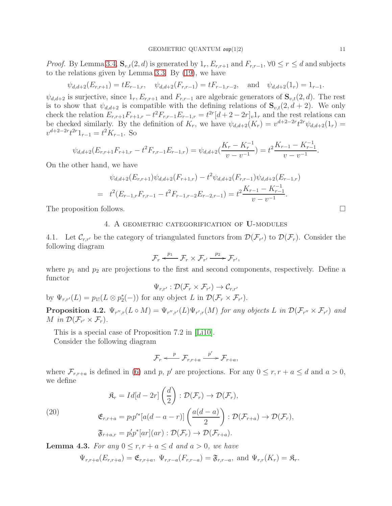*Proof.* By Lemma [3.4,](#page-7-4)  $\mathbf{S}_{v,t}(2,d)$  is generated by  $1_r, E_{r,r+1}$  and  $F_{r,r-1}$ ,  $\forall 0 \leq r \leq d$  and subjects to the relations given by Lemma [3.3.](#page-6-0) By [\(19\)](#page-9-3), we have

$$
\psi_{d,d+2}(E_{r,r+1}) = tE_{r-1,r}, \quad \psi_{d,d+2}(F_{r,r-1}) = tF_{r-1,r-2}, \quad \text{and} \quad \psi_{d,d+2}(1_r) = 1_{r-1}.
$$

 $\psi_{d,d+2}$  is surjective, since  $1_r, E_{r,r+1}$  and  $F_{r,r-1}$  are algebraic generators of  $\mathbf{S}_{v,t}(2,d)$ . The rest is to show that  $\psi_{d,d+2}$  is compatible with the defining relations of  $S_{v,t}(2, d+2)$ . We only check the relation  $E_{r,r+1}F_{r+1,r} - t^2 F_{r,r-1}E_{r-1,r} = t^{2r}[d+2-2r]_v1_r$  and the rest relations can be checked similarly. By the definition of  $K_r$ , we have  $\psi_{d,d+2}(K_r) = v^{d+2-2r}t^{2r}\psi_{d,d+2}(1_r) =$  $v^{d+2-2r}t^{2r}1_{r-1} = t^2K_{r-1}$ . So

$$
\psi_{d,d+2}(E_{r,r+1}F_{r+1,r}-t^2F_{r,r-1}E_{r-1,r})=\psi_{d,d+2}(\frac{K_r-K_r^{-1}}{v-v^{-1}})=t^2\frac{K_{r-1}-K_{r-1}^{-1}}{v-v^{-1}}.
$$

On the other hand, we have

$$
\psi_{d,d+2}(E_{r,r+1})\psi_{d,d+2}(F_{r+1,r}) - t^2\psi_{d,d+2}(F_{r,r-1})\psi_{d,d+2}(E_{r-1,r})
$$
  
= 
$$
t^2(E_{r-1,r}F_{r,r-1} - t^2F_{r-1,r-2}E_{r-2,r-1}) = t^2\frac{K_{r-1} - K_{r-1}^{-1}}{v - v^{-1}}.
$$

<span id="page-10-0"></span>The proposition follows.  $\Box$ 

### 4. A geometric categorification of U-modules

4.1. Let  $\mathcal{C}_{r,r'}$  be the category of triangulated functors from  $\mathcal{D}(\mathcal{F}_{r'})$  to  $\mathcal{D}(\mathcal{F}_r)$ . Consider the following diagram

$$
\mathcal{F}_r \xleftarrow{p_1} \mathcal{F}_r \times \mathcal{F}_{r'} \xrightarrow{p_2} \mathcal{F}_{r'},
$$

where  $p_1$  and  $p_2$  are projections to the first and second components, respectively. Define a functor

$$
\Psi_{r,r'}: \mathcal{D}(\mathcal{F}_r \times \mathcal{F}_{r'}) \to \mathcal{C}_{r,r'}
$$

by  $\Psi_{r,r'}(L) = p_{1!}(L \otimes p_2^*(-))$  for any object L in  $\mathcal{D}(\mathcal{F}_r \times \mathcal{F}_{r'}).$ 

<span id="page-10-1"></span>**Proposition 4.2.**  $\Psi_{r'',r}(L \circ M) = \Psi_{r'',r'}(L) \Psi_{r',r}(M)$  for any objects L in  $\mathcal{D}(\mathcal{F}_{r''} \times \mathcal{F}_{r'})$  and M in  $\mathcal{D}(\mathcal{F}_{r'} \times \mathcal{F}_r)$ .

This is a special case of Proposition 7.2 in [\[Li10\]](#page-20-11).

Consider the following diagram

$$
\mathcal{F}_r \xleftarrow{p} \mathcal{F}_{r,r+a} \xrightarrow{p'} \mathcal{F}_{r+a},
$$

where  $\mathcal{F}_{r,r+a}$  is defined in [\(6\)](#page-5-1) and p, p' are projections. For any  $0 \leq r, r + a \leq d$  and  $a > 0$ , we define

$$
\mathfrak{K}_r = Id[d - 2r] \left( \frac{d}{2} \right) : \mathcal{D}(\mathcal{F}_r) \to \mathcal{D}(\mathcal{F}_r),
$$

<span id="page-10-3"></span>(20)

$$
\mathfrak{E}_{r,r+a} = p_! p'^*[a(d-a-r)] \left( \frac{a(d-a)}{2} \right) : \mathcal{D}(\mathcal{F}_{r+a}) \to \mathcal{D}(\mathcal{F}_r),
$$
  

$$
\mathfrak{F}_{r+a,r} = p'_! p^*[ar](ar) : \mathcal{D}(\mathcal{F}_r) \to \mathcal{D}(\mathcal{F}_{r+a}).
$$

<span id="page-10-2"></span>**Lemma 4.3.** For any  $0 \le r, r + a \le d$  and  $a > 0$ , we have

 $\Psi_{r,r+a}(E_{r,r+a}) = \mathfrak{E}_{r,r+a}, \Psi_{r,r-a}(F_{r,r-a}) = \mathfrak{F}_{r,r-a}, \text{ and } \Psi_{r,r}(K_r) = \mathfrak{K}_r.$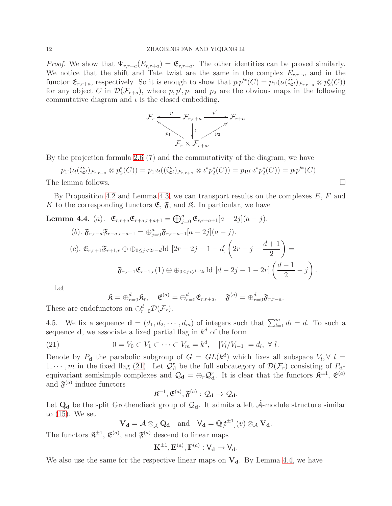*Proof.* We show that  $\Psi_{r,r+a}(E_{r,r+a}) = \mathfrak{E}_{r,r+a}$ . The other identities can be proved similarly. We notice that the shift and Tate twist are the same in the complex  $E_{r,r+a}$  and in the functor  $\mathfrak{E}_{r,r+a}$ , respectively. So it is enough to show that  $p_!p'^*(C) = p_{1!}(\iota_!(\bar{\mathbb{Q}}_l)_{\mathcal{F}_{r,r+a}} \otimes p_2^*(C))$ for any object C in  $\mathcal{D}(\mathcal{F}_{r+a})$ , where p, p', p<sub>1</sub> and p<sub>2</sub> are the obvious maps in the following commutative diagram and  $\iota$  is the closed embedding.



By the projection formula [2.6](#page-4-1) (7) and the commutativity of the diagram, we have

 $p_{1!}(\iota_!(\bar{\mathbb{Q}}_l)_{\mathcal{F}_{r,r+a}} \otimes p_2^*$  $\chi_2^*(C)) = p_{1!} \iota_1((\bar{\mathbb{Q}}_l)_{\mathcal{F}_{r,r+a}} \otimes \iota^* p_2^*$  $p_2^*(C)) = p_{1!} \iota_! \iota^* p_2^*$  $i_2^*(C)) = p_1 p'^*(C).$ The lemma follows.  $\Box$ 

By Proposition [4.2](#page-10-1) and Lemma [4.3,](#page-10-2) we can transport results on the complexes  $E, F$  and K to the corresponding functors  $\mathfrak{E}, \mathfrak{F}$ , and  $\mathfrak{K}$ . In particular, we have

<span id="page-11-1"></span>**Lemma 4.4.** (a). 
$$
\mathfrak{E}_{r,r+a}\mathfrak{E}_{r+a,r+a+1} = \bigoplus_{j=0}^{a} \mathfrak{E}_{r,r+a+1}[a-2j](a-j).
$$
  
\n(b).  $\mathfrak{F}_{r,r-a}\mathfrak{F}_{r-a,r-a-1} = \bigoplus_{j=0}^{a} \mathfrak{F}_{r,r-a-1}[a-2j](a-j).$   
\n(c).  $\mathfrak{E}_{r,r+1}\mathfrak{F}_{r+1,r} \oplus \bigoplus_{0 \leq j < 2r-d} \text{Id} [2r-2j-1-d] \left(2r-j-\frac{d+1}{2}\right) =$   
\n $\mathfrak{F}_{r,r-1}\mathfrak{E}_{r-1,r}(1) \oplus \bigoplus_{0 \leq j < d-2r} \text{Id} [d-2j-1-2r] \left(\frac{d-1}{2}-j\right).$ 

Let

<span id="page-11-0"></span>
$$
\mathfrak{K} = \oplus_{r=0}^d \mathfrak{K}_r, \quad \mathfrak{E}^{(a)} = \oplus_{r=0}^d \mathfrak{E}_{r,r+a}, \quad \mathfrak{F}^{(a)} = \oplus_{r=0}^d \mathfrak{F}_{r,r-a}.
$$

These are endofunctors on  $\oplus_{r=0}^d \mathcal{D}(\mathcal{F}_r)$ .

4.5. We fix a sequence  $\mathbf{d} = (d_1, d_2, \cdots, d_m)$  of integers such that  $\sum_{l=1}^{m} d_l = d$ . To such a sequence **d**, we associate a fixed partial flag in  $k^d$  of the form

(21) 
$$
0 = V_0 \subset V_1 \subset \cdots \subset V_m = k^d, \quad |V_l/V_{l-1}| = d_l, \ \forall \ l.
$$

Denote by  $P_d$  the parabolic subgroup of  $G = GL(k^d)$  which fixes all subspace  $V_l$ ,  $\forall l =$  $1, \dots, m$  in the fixed flag [\(21\)](#page-11-0). Let  $\mathcal{Q}_{\mathbf{d}}^r$  be the full subcategory of  $\mathcal{D}(\mathcal{F}_r)$  consisting of  $P_{\mathbf{d}}$ . equivariant semisimple complexes and  $\mathcal{Q}_{d} = \bigoplus_{r} \mathcal{Q}_{d}^{r}$ . It is clear that the functors  $\mathfrak{K}^{\pm 1}$ ,  $\mathfrak{E}^{(a)}$ and  $\mathfrak{F}^{(a)}$  induce functors

$$
\mathfrak{K}^{\pm 1}, \mathfrak{E}^{(a)}, \mathfrak{F}^{(a)} : \mathcal{Q}_{\mathbf{d}} \to \mathcal{Q}_{\mathbf{d}}.
$$

Let  $Q_d$  be the split Grothendieck group of  $Q_d$ . It admits a left  $\tilde{A}$ -module structure similar to  $(15)$ . We set

$$
\mathbf{V}_{\mathbf{d}} = \mathcal{A} \otimes_{\tilde{\mathcal{A}}} \mathbf{Q}_{\mathbf{d}} \quad \text{and} \quad \mathsf{V}_{\mathbf{d}} = \mathbb{Q}[t^{\pm 1}](v) \otimes_{\mathcal{A}} \mathbf{V}_{\mathbf{d}}.
$$

The functors  $\mathfrak{K}^{\pm 1}$ ,  $\mathfrak{E}^{(a)}$ , and  $\mathfrak{F}^{(a)}$  descend to linear maps

$$
\mathbf{K}^{\pm 1}, \mathbf{E}^{(a)}, \mathbf{F}^{(a)} : \mathsf{V}_{\mathbf{d}} \to \mathsf{V}_{\mathbf{d}}.
$$

We also use the same for the respective linear maps on  $V_d$ . By Lemma [4.4,](#page-11-1) we have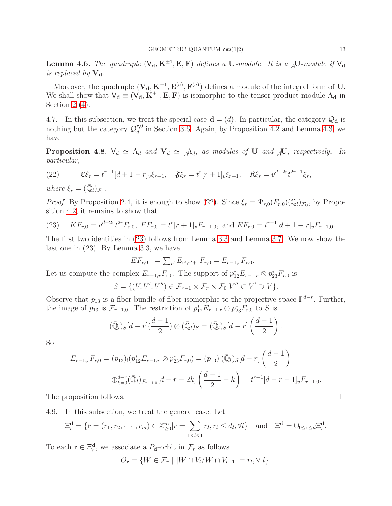**Lemma 4.6.** The quadruple  $(V_d, K^{\pm 1}, E, F)$  defines a U-module. It is a  $_{\mathcal{A}}$ U-module if  $V_d$ is replaced by  $V_d$ .

Moreover, the quadruple  $(V_d, K^{\pm 1}, E^{(a)}, F^{(a)})$  defines a module of the integral form of U. We shall show that  $V_d \equiv (V_d, \mathbf{K}^{\pm 1}, \mathbf{E}, \mathbf{F})$  is isomorphic to the tensor product module  $\Lambda_d$  in Section  $2(4)$ .

4.7. In this subsection, we treat the special case  $\mathbf{d} = (d)$ . In particular, the category  $\mathcal{Q}_{\mathbf{d}}$  is nothing but the category  $\mathcal{Q}_d^{r,0}$  $d_d^{\tau,0}$  in Section [3.6.](#page-8-5) Again, by Proposition [4.2](#page-10-1) and Lemma [4.3,](#page-10-2) we have

<span id="page-12-2"></span>**Proposition 4.8.**  $V_d \simeq \Lambda_d$  and  $V_d \simeq \Lambda_d$ , as modules of U and  $\overline{A}U$ , respectively. In particular,

<span id="page-12-0"></span>(22) 
$$
\mathfrak{E}\xi_r = t^{r-1}[d+1-r]_v\xi_{r-1}, \quad \mathfrak{F}\xi_r = t^r[r+1]_v\xi_{r+1}, \quad \mathfrak{K}\xi_r = v^{d-2r}t^{2r-1}\xi_r,
$$

where  $\xi_r = (\bar{\mathbb{Q}}_l)_{\mathcal{F}_r}$ .

*Proof.* By Proposition [2.4,](#page-3-2) it is enough to show [\(22\)](#page-12-0). Since  $\xi_r = \Psi_{r,0}(F_{r,0})(\overline{\mathbb{Q}}_l)_{\mathcal{F}_0}$ , by Proposition [4.2,](#page-10-1) it remains to show that

<span id="page-12-1"></span>(23) 
$$
KF_{r,0} = v^{d-2r}t^{2r}F_{r,0}, \; FF_{r,0} = t^r[r+1]_vF_{r+1,0}, \text{ and } EF_{r,0} = t^{r-1}[d+1-r]_vF_{r-1,0}.
$$

The first two identities in [\(23\)](#page-12-1) follows from Lemma [3.3](#page-6-0) and Lemma [3.7.](#page-9-1) We now show the last one in [\(23\)](#page-12-1). By Lemma [3.3,](#page-6-0) we have

$$
EF_{r,0} = \sum_{r'} E_{r',r'+1} F_{r,0} = E_{r-1,r} F_{r,0}.
$$

Let us compute the complex  $E_{r-1,r}F_{r,0}$ . The support of  $p_{12}^*E_{r-1,r}\otimes p_{23}^*F_{r,0}$  is

$$
S = \{ (V, V', V'') \in \mathcal{F}_{r-1} \times \mathcal{F}_r \times \mathcal{F}_0 | V'' \subset V' \supset V \}.
$$

Observe that  $p_{13}$  is a fiber bundle of fiber isomorphic to the projective space  $\mathbb{P}^{d-r}$ . Further, the image of  $p_{13}$  is  $\mathcal{F}_{r-1,0}$ . The restriction of  $p_{12}^*E_{r-1,r}\otimes p_{23}^*F_{r,0}$  to S is

$$
(\overline{\mathbb{Q}}_l)_S[d-r](\frac{d-1}{2})\otimes(\overline{\mathbb{Q}}_l)_S=(\overline{\mathbb{Q}}_l)_S[d-r]\left(\frac{d-1}{2}\right).
$$

So

$$
E_{r-1,r}F_{r,0} = (p_{13})_!(p_{12}^*E_{r-1,r} \otimes p_{23}^*F_{r,0}) = (p_{13})_!(\bar{\mathbb{Q}}_l)_S[d-r] \left(\frac{d-1}{2}\right)
$$
  
=  $\bigoplus_{k=0}^{d-r} (\bar{\mathbb{Q}}_l)_{\mathcal{F}_{r-1,0}}[d-r-2k] \left(\frac{d-1}{2} - k\right) = t^{r-1}[d-r+1]_v F_{r-1,0}.$ 

The proposition follows.

4.9. In this subsection, we treat the general case. Let

$$
\Xi_r^{\mathbf{d}} = \{ \mathbf{r} = (r_1, r_2, \cdots, r_m) \in \mathbb{Z}_{\geq 0}^m | r = \sum_{1 \leq l \leq 1} r_l, r_l \leq d_l, \forall l \} \text{ and } \Xi^{\mathbf{d}} = \cup_{0 \leq r \leq d} \Xi_r^{\mathbf{d}}.
$$

To each  $\mathbf{r} \in \Xi_r^{\mathbf{d}}$  $r_r^d$ , we associate a  $P_d$ -orbit in  $\mathcal{F}_r$  as follows.

 $O_{\mathbf{r}} = \{ W \in \mathcal{F}_r \mid |W \cap V_l/W \cap V_{l-1}| = r_l, \forall l \}.$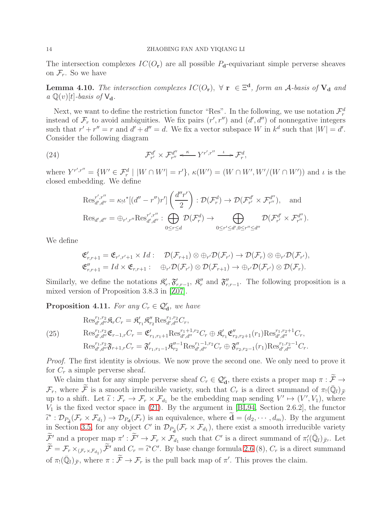The intersection complexes  $IC(O_r)$  are all possible  $P_d$ -equivariant simple perverse sheaves on  $\mathcal{F}_r$ . So we have

<span id="page-13-2"></span>**Lemma 4.10.** The intersection complexes  $IC(O_r)$ ,  $\forall$   $r \in \Xi^d$ , form an A-basis of  $V_d$  and  $a \mathbb{Q}(v)[t]$ -basis of  $V_d$ .

Next, we want to define the restriction functor "Res". In the following, we use notation  $\mathcal{F}_r^d$ instead of  $\mathcal{F}_r$  to avoid ambiguities. We fix pairs  $(r', r'')$  and  $(d', d'')$  of nonnegative integers such that  $r' + r'' = r$  and  $d' + d'' = d$ . We fix a vector subspace W in  $k^d$  such that  $|W| = d'$ . Consider the following diagram

(24) 
$$
\mathcal{F}_{r'}^{d'} \times \mathcal{F}_{r''}^{d''} \xleftarrow{\kappa} Y^{r',r''} \xrightarrow{\iota} \mathcal{F}_r^d,
$$

where  $Y^{r',r''} = \{W' \in \mathcal{F}_r^d \mid |W \cap W'| = r'\}, \ \kappa(W') = (W \cap W', W'/(W \cap W'))$  and  $\iota$  is the closed embedding. We define

<span id="page-13-0"></span>
$$
\operatorname{Res}_{d',d''}^{r',r''} = \kappa_! \iota^* [(d'' - r'')r'] \left( \frac{d''r'}{2} \right) : \mathcal{D}(\mathcal{F}_r^d) \to \mathcal{D}(\mathcal{F}_{r'}^{d'} \times \mathcal{F}_{r''}^{d''}), \text{ and}
$$
  

$$
\operatorname{Res}_{d',d''} = \bigoplus_{r',r''} \operatorname{Res}_{d',d''}^{r',r''} : \bigoplus_{0 \le r \le d} \mathcal{D}(\mathcal{F}_r^d) \to \bigoplus_{0 \le r' \le d', 0 \le r'' \le d''} \mathcal{D}(\mathcal{F}_{r'}^{d'} \times \mathcal{F}_{r''}^{d''}).
$$

We define

$$
\mathfrak{E}'_{r,r+1} = \mathfrak{E}_{r',r'+1} \times Id: \quad \mathcal{D}(\mathcal{F}_{r+1}) \otimes \oplus_{r'} \mathcal{D}(\mathcal{F}_{r'}) \to \mathcal{D}(\mathcal{F}_r) \otimes \oplus_{r'} \mathcal{D}(\mathcal{F}_{r'}), \mathfrak{E}''_{r,r+1} = Id \times \mathfrak{E}_{r,r+1}: \quad \oplus_{r'} \mathcal{D}(\mathcal{F}_{r'}) \otimes \mathcal{D}(\mathcal{F}_{r+1}) \to \oplus_{r'} \mathcal{D}(\mathcal{F}_{r'}) \otimes \mathcal{D}(\mathcal{F}_r).
$$

Similarly, we define the notations  $\mathfrak{K}'_r, \mathfrak{F}'_{r,r-1}, \mathfrak{K}''_r$  and  $\mathfrak{F}''_{r,r-1}$ . The following proposition is a mixed version of Proposition 3.8.3 in [\[Z07\]](#page-20-7).

<span id="page-13-1"></span>**Proposition 4.11.** For any  $C_r \in \mathcal{Q}_{\mathbf{d}}^r$ , we have

(25) 
$$
\operatorname{Res}_{d',d''}^{r_1,r_2} \mathfrak{F}_r C_r = \mathfrak{K}_{r_1}^{\prime} \mathfrak{K}_{r_2}^{\prime\prime} \operatorname{Res}_{d',d''}^{r_1,r_2} C_r,
$$
  
\n
$$
\operatorname{Res}_{d',d''}^{r_1,r_2} \mathfrak{E}_{r-1,r} C_r = \mathfrak{E}_{r_1,r_1+1}^{\prime} \operatorname{Res}_{d',d''}^{r_1+r_2} C_r \oplus \mathfrak{K}_{r_1}^{\prime} \mathfrak{E}_{r_2,r_2+1}^{\prime\prime}(r_1) \operatorname{Res}_{d',d''}^{r_1,r_2+1} C_r,
$$
  
\n
$$
\operatorname{Res}_{d',d''}^{r_1,r_2} \mathfrak{F}_{r+1,r} C_r = \mathfrak{F}_{r_1,r_1-1}^{\prime} \mathfrak{K}_{r_2}^{\prime\prime-1} \operatorname{Res}_{d',d''}^{r_1-1,r_2} C_r \oplus \mathfrak{F}_{r_2,r_2-1}^{\prime\prime}(r_1) \operatorname{Res}_{d',d''}^{r_1,r_2-1} C_r.
$$

*Proof.* The first identity is obvious. We now prove the second one. We only need to prove it for  $C_r$  a simple perverse sheaf.

We claim that for any simple perverse sheaf  $C_r \in \mathcal{Q}_d^r$ , there exists a proper map  $\pi : \tilde{\mathcal{F}} \to$  $\mathcal{F}_r$ , where  $\widetilde{\mathcal{F}}$  is a smooth irreducible variety, such that  $C_r$  is a direct summand of  $\pi_! (\bar{\mathbb{Q}}_l)_{\widetilde{\mathcal{F}}}$ up to a shift. Let  $\tilde{\iota}: \mathcal{F}_r \to \mathcal{F}_r \times \mathcal{F}_{d_1}$  be the embedding map sending  $V' \mapsto (V', V_1)$ , where  $V_1$  is the fixed vector space in [\(21\)](#page-11-0). By the argument in [\[BL94,](#page-19-14) Section 2.6.2], the functor  $\widetilde{\iota}^* : \mathcal{D}_{P_{\mathbf{d}}}(\mathcal{F}_r \times \mathcal{F}_{d_1}) \to \mathcal{D}_{P_{\mathbf{d}}}(\mathcal{F}_r)$  is an equivalence, where  $\widetilde{\mathbf{d}} = (d_2, \cdots, d_m)$ . By the argument in Section [3.5,](#page-8-6) for any object C' in  $\mathcal{D}_{P_{\tilde{\mathbf{d}}}}(\mathcal{F}_r \times \mathcal{F}_{d_1})$ , there exist a smooth irreducible variety  $\widetilde{\mathcal{F}}'$  and a proper map  $\pi': \widetilde{\mathcal{F}}' \to \mathcal{F}_r \times \mathcal{F}_{d_1}$  such that  $C'$  is a direct summand of  $\pi'_!(\bar{\mathbb{Q}}_l)_{\widetilde{\mathcal{F}}'}$ . Let  $\widetilde{\mathcal{F}} = \mathcal{F}_r \times_{(\mathcal{F}_r \times \mathcal{F}_{d_1})} \widetilde{\mathcal{F}}'$  and  $C_r = \widetilde{\iota}^* C'$ . By base change formula [2.6](#page-4-1) (8),  $C_r$  is a direct summand of  $\pi_!(\bar{\mathbb{Q}}_l)_{\tilde{\mathcal{F}}},$  where  $\pi: \tilde{\mathcal{F}} \to \mathcal{F}_r$  is the pull back map of  $\pi'$ . This proves the claim.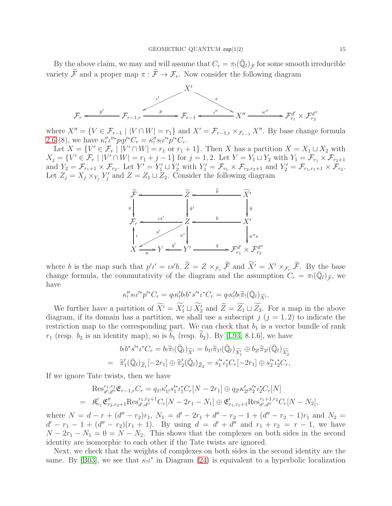By the above claim, we may and will assume that  $C_r = \pi_! (\bar{Q}_l)_{\tilde{\mathcal{F}}}$  for some smooth irreducible variety  $\widetilde{\mathcal{F}}$  and a proper map  $\pi : \widetilde{\mathcal{F}} \to \mathcal{F}_r$ . Now consider the following diagram



where  $X'' = \{V \in \mathcal{F}_{r-1} \mid |V \cap W| = r_1\}$  and  $X' = \mathcal{F}_{r-1,r} \times_{\mathcal{F}_{r-1}} X''$ . By base change formula [2.6](#page-4-1) (8), we have  $\kappa''_! \iota''^* p_! p'^* C_r = \kappa''_! s_! \iota'^* p'^* C_r$ .

Let  $X = \{V' \in \mathcal{F}_r \mid |V' \cap W| = r_1 \text{ or } r_1 + 1\}$ . Then X has a partition  $X = X_1 \sqcup X_2$  with  $X_j = \{V' \in \mathcal{F}_r \mid |V' \cap W| = r_1 + j - 1\}$  for  $j = 1, 2$ . Let  $Y = Y_1 \sqcup Y_2$  with  $Y_1 = \mathcal{F}_{r_1} \times \mathcal{F}_{r_2+1}$ and  $Y_2 = \mathcal{F}_{r_1+1} \times \mathcal{F}_{r_2}$ . Let  $Y' = Y'_1 \sqcup Y'_2$  with  $Y'_1 = \mathcal{F}_{r_1} \times \mathcal{F}_{r_2,r_2+1}$  and  $Y'_2 = \mathcal{F}_{r_1,r_1+1} \times \mathcal{F}_{r_2}$ . Let  $Z_j = X_j \times_{Y_j} Y'_j$  and  $Z = Z_1 \sqcup Z_2$ . Consider the following diagram



where b is the map such that  $p'l' = \iota s'b$ ,  $\widetilde{Z} = Z \times_{\mathcal{F}_r} \widetilde{\mathcal{F}}$  and  $\widetilde{X}' = X' \times_{\mathcal{F}_r} \widetilde{\mathcal{F}}$ . By the base change formula, the commutativity of the diagram and the assumption  $C_r = \pi_! (\bar{Q}_l)_{\tilde{\mathcal{F}}}$ , we have

$$
\kappa_!'' s_! \iota'^* p'^* C_r = q_! \kappa'_! b_! b^* s'^* \iota^* C_r = q_! \kappa'_! b_! \widetilde{\pi}_! (\bar{\mathbb{Q}}_l)_{\widetilde{X}'}.
$$

We further have a partition of  $\overline{X'} = X'_1 \sqcup X'_2$  and  $\overline{Z} = Z_1 \sqcup Z_2$ . For a map in the above diagram, if its domain has a partition, we shall use a subscript  $j$   $(j = 1, 2)$  to indicate the restriction map to the corresponding part. We can check that  $b_1$  is a vector bundle of rank  $r_1$  (resp.  $b_2$  is an identity map), so is  $b_1$  (resp.  $b_2$ ). By [\[L93,](#page-20-2) 8.1.6], we have

$$
b_!b^*s'^* \iota^* C_r = b_! \widetilde{\pi}_! (\overline{\mathbb{Q}}_l)_{\widetilde{X}'} = b_{1!} \widetilde{\pi}_{1!} (\overline{\mathbb{Q}}_l)_{\widetilde{X}'_1} \oplus b_{2!} \widetilde{\pi}_{2!} (\overline{\mathbb{Q}}_l)_{\widetilde{X}'_2}
$$
  
=  $\widetilde{\pi}'_1 (\overline{\mathbb{Q}}_l)_{\widetilde{Z}_1} [-2r_1] \oplus \widetilde{\pi}'_2 (\overline{\mathbb{Q}}_l)_{\widetilde{Z}_2} = s_1'^* \iota_1^* C_r [-2r_1] \oplus s_2'^* \iota_2^* C_r,$ 

If we ignore Tate twists, then we have

$$
\operatorname{Res}_{d',d''}^{\{r_1,r_2\}} \mathfrak{E}_{r-1,r} C_r = q_{1!} \kappa'_{1!} s_1'^\ast \iota_1^* C_r [N - 2r_1] \oplus q_{2!} \kappa'_{2!} s_2'^\ast \iota_2^* C_r [N]
$$
  
=  $\mathfrak{K}'_{r_1} \mathfrak{E}_{r_2,r_2+1}'' \operatorname{Res}_{d',d''}^{\{r_1,r_2+1\}} C_r [N - 2r_1 - N_1] \oplus \mathfrak{E}_{r_1,r_1+1}' \operatorname{Res}_{d',d''}^{\{r_1+1,r_2\}} C_r [N - N_2],$ 

where  $N = d - r + (d'' - r_2)r_1$ ,  $N_1 = d' - 2r_1 + d'' - r_2 - 1 + (d'' - r_2 - 1)r_1$  and  $N_2 =$  $d' - r_1 - 1 + (d'' - r_2)(r_1 + 1)$ . By using  $d = d' + d''$  and  $r_1 + r_2 = r - 1$ , we have  $N - 2r_1 - N_1 = 0 = N - N_2$ . This shows that the complexes on both sides in the second identity are isomorphic to each other if the Tate twists are ignored.

Next, we check that the weights of complexes on both sides in the second identity are the same. By [\[B03\]](#page-19-15), we see that  $\kappa_1 \iota^*$  in Diagram [\(24\)](#page-13-0) is equivalent to a hyperbolic localization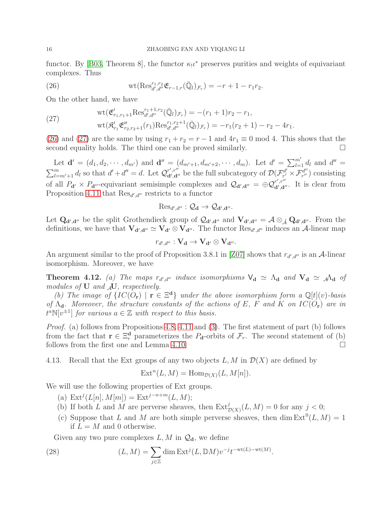functor. By [\[B03,](#page-19-15) Theorem 8], the functor  $\kappa_! \iota^*$  preserves purities and weights of equivariant complexes. Thus

<span id="page-15-1"></span>(26) 
$$
\text{wt}(\text{Res}_{d',d''}^{r_1,r_2}\mathfrak{E}_{r-1,r}(\bar{\mathbb{Q}}_l)_{\mathcal{F}_r})=-r+1-r_1r_2.
$$

On the other hand, we have

<span id="page-15-2"></span>(27) 
$$
\text{wt}(\mathfrak{E}'_{r_1,r_1+1}\text{Res}_{d',d''}^{r_1+1,r_2}(\bar{\mathbb{Q}}_l)_{\mathcal{F}_r}) = -(r_1+1)r_2 - r_1,
$$

$$
\text{wt}(\mathfrak{K}'_{r_1}\mathfrak{E}''_{r_2,r_2+1}(r_1)\text{Res}_{d',d''}^{r_1,r_2+1}(\bar{\mathbb{Q}}_l)_{\mathcal{F}_r}) = -r_1(r_2+1) - r_2 - 4r_1.
$$

[\(26\)](#page-15-1) and [\(27\)](#page-15-2) are the same by using  $r_1 + r_2 = r - 1$  and  $4r_1 \equiv 0 \mod 4$ . This shows that the second equality holds. The third one can be proved similarly. second equality holds. The third one can be proved similarly.

Let  $\mathbf{d}' = (d_1, d_2, \cdots, d_{m'})$  and  $\mathbf{d}'' = (d_{m'+1}, d_{m'+2}, \cdots, d_m)$ . Let  $d' = \sum_{l=1}^{m'} d_l$  and  $d'' =$  $\sum_{l=m'+1}^{m} d_l$  so that  $d'+d''=d$ . Let  $\mathcal{Q}_{\mathbf{d}',\mathbf{d}''}^{r',r''}$  be the full subcategory of  $\mathcal{D}(\mathcal{F}_{r'}^{d'})$  $\mathcal{F}^{d'}_{r'}\times \mathcal{F}^{d''}_{r''}$  $r''$  consisting of all  $P_{d'} \times P_{d''}$ -equivariant semisimple complexes and  $\mathcal{Q}_{d',d''} = \bigoplus \mathcal{Q}_{d',d''}^{r',r''}$ . It is clear from Proposition [4.11](#page-13-1) that  $\text{Res}_{d',d''}$  restricts to a functor

$$
\mathrm{Res}_{d',d''}: \mathcal{Q}_{\mathbf{d}} \to \mathcal{Q}_{\mathbf{d}',\mathbf{d}''}.
$$

Let  $\mathbf{Q}_{\mathbf{d}',\mathbf{d}''}$  be the split Grothendieck group of  $\mathcal{Q}_{\mathbf{d}',\mathbf{d}''}$  and  $\mathbf{V}_{\mathbf{d}',\mathbf{d}''} = \mathcal{A} \otimes_{\tilde{\mathcal{A}}} \mathbf{Q}_{\mathbf{d}',\mathbf{d}''}$ . From the definitions, we have that  $V_{d',d''} \simeq V_{d'} \otimes V_{d''}$ . The functor  $Res_{d',d''}$  induces an A-linear map

$$
r_{d',d''}: \mathbf{V_d} \to \mathbf{V_{d'}} \otimes \mathbf{V_{d''}}.
$$

An argument similar to the proof of Proposition 3.8.1 in [\[Z07\]](#page-20-7) shows that  $r_{d',d''}$  is an A-linear isomorphism. Moreover, we have

<span id="page-15-0"></span>**Theorem 4.12.** (a) The maps  $r_{d',d''}$  induce isomorphisms  $V_d \simeq \Lambda_d$  and  $V_d \simeq A_d$  of modules of  $U$  and  $_{\mathcal{A}}U$ , respectively.

(b) The image of  ${IC(O_r) \mid r \in \Xi^d}$  under the above isomorphism form a  $\mathbb{Q}[t](v)$ -basis of  $\Lambda_d$ . Moreover, the structure constants of the actions of E, F and K on  $IC(O_r)$  are in  $t^a \mathbb{N}[v^{\pm 1}]$  for various  $a \in \mathbb{Z}$  with respect to this basis.

Proof. (a) follows from Propositions [4.8,](#page-12-2) [4.11](#page-13-1) and [\(3\)](#page-3-4). The first statement of part (b) follows from the fact that  $\mathbf{r} \in \Xi_r^{\mathbf{d}}$  parameterizes the  $P_{\mathbf{d}}$ -orbits of  $\mathcal{F}_r$ . The second statement of (b) follows from the first one and Lemma [4.10.](#page-13-2)

<span id="page-15-4"></span>4.13. Recall that the Ext groups of any two objects  $L, M$  in  $\mathcal{D}(X)$  are defined by

$$
Extn(L, M) = Hom_{\mathcal{D}(X)}(L, M[n]).
$$

We will use the following properties of Ext groups.

- (a)  $\text{Ext}^{j}(L[n], M[m]) = \text{Ext}^{j-n+m}(L, M);$
- (b) If both L and M are perverse sheaves, then  $\text{Ext}^j_{\mathcal{D}(X)}(L, M) = 0$  for any  $j < 0$ ;
- (c) Suppose that L and M are both simple perverse sheaves, then dim  $Ext^0(L, M) = 1$ if  $L = M$  and 0 otherwise.

<span id="page-15-3"></span>Given any two pure complexes  $L, M$  in  $\mathcal{Q}_d$ , we define

(28) 
$$
(L, M) = \sum_{j \in \mathbb{Z}} \dim \operatorname{Ext}^j(L, \mathbb{D}M) v^{-j} t^{-\operatorname{wt}(L) - \operatorname{wt}(M)}.
$$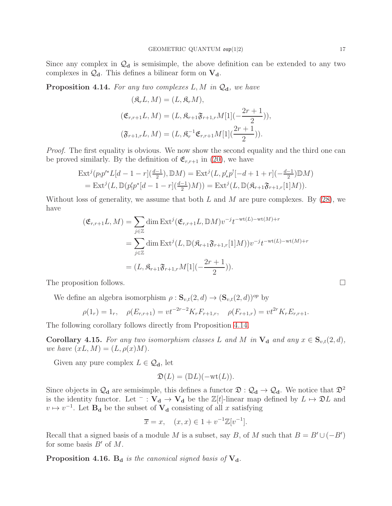Since any complex in  $\mathcal{Q}_{d}$  is semisimple, the above definition can be extended to any two complexes in  $\mathcal{Q}_d$ . This defines a bilinear form on  $V_d$ .

<span id="page-16-0"></span>**Proposition 4.14.** For any two complexes L, M in  $\mathcal{Q}_d$ , we have

$$
(\mathfrak{K}_r L, M) = (L, \mathfrak{K}_r M),
$$
  

$$
(\mathfrak{E}_{r,r+1} L, M) = (L, \mathfrak{K}_{r+1} \mathfrak{F}_{r+1,r} M[1](-\frac{2r+1}{2})),
$$
  

$$
(\mathfrak{F}_{r+1,r} L, M) = (L, \mathfrak{K}_r^{-1} \mathfrak{E}_{r,r+1} M[1](\frac{2r+1}{2})).
$$

Proof. The first equality is obvious. We now show the second equality and the third one can be proved similarly. By the definition of  $\mathfrak{E}_{r,r+1}$  in [\(20\)](#page-10-3), we have

$$
\text{Ext}^j(p_!p'^*L[d-1-r](\frac{d-1}{2}), \mathbb{D}M) = \text{Ext}^j(L, p'_*p^![-d+1+r](-\frac{d-1}{2})\mathbb{D}M)
$$
  
= 
$$
\text{Ext}^j(L, \mathbb{D}(p'_!p^*[d-1-r](\frac{d-1}{2})M)) = \text{Ext}^j(L, \mathbb{D}(\mathfrak{K}_{r+1}\mathfrak{F}_{r+1,r}[1]M)).
$$

Without loss of generality, we assume that both  $L$  and  $M$  are pure complexes. By [\(28\)](#page-15-3), we have

$$
(\mathfrak{E}_{r,r+1}L,M) = \sum_{j\in\mathbb{Z}} \dim \operatorname{Ext}^j(\mathfrak{E}_{r,r+1}L,\mathbb{D}M)v^{-j}t^{-\operatorname{wt}(L)-\operatorname{wt}(M)+r}
$$
  

$$
= \sum_{j\in\mathbb{Z}} \dim \operatorname{Ext}^j(L,\mathbb{D}(\mathfrak{K}_{r+1}\mathfrak{F}_{r+1,r}[1]M))v^{-j}t^{-\operatorname{wt}(L)-\operatorname{wt}(M)+r}
$$
  

$$
= (L,\mathfrak{K}_{r+1}\mathfrak{F}_{r+1,r}M[1](-\frac{2r+1}{2})).
$$

The proposition follows.  $\Box$ 

We define an algebra isomorphism  $\rho : \mathbf{S}_{v,t}(2,d) \to (\mathbf{S}_{v,t}(2,d))^{op}$  by

$$
\rho(1_r) = 1_r, \quad \rho(E_{r,r+1}) = vt^{-2r-2} K_r F_{r+1,r}, \quad \rho(F_{r+1,r}) = vt^{2r} K_r E_{r,r+1}.
$$

The following corollary follows directly from Proposition [4.14.](#page-16-0)

**Corollary 4.15.** For any two isomorphism classes L and M in  $V_d$  and any  $x \in S_{v,t}(2,d)$ , we have  $(xL, M) = (L, \rho(x)M)$ .

Given any pure complex  $L \in \mathcal{Q}_d$ , let

$$
\mathfrak{D}(L) = (\mathbb{D}L)(-\mathrm{wt}(L)).
$$

Since objects in  $\mathcal{Q}_d$  are semisimple, this defines a functor  $\mathfrak{D} : \mathcal{Q}_d \to \mathcal{Q}_d$ . We notice that  $\mathfrak{D}^2$ is the identity functor. Let  $^-: V_d \to V_d$  be the Z[t]-linear map defined by  $L \mapsto \mathfrak{D}L$  and  $v \mapsto v^{-1}$ . Let  $B_d$  be the subset of  $V_d$  consisting of all x satisfying

$$
\overline{x} = x, \quad (x, x) \in 1 + v^{-1} \mathbb{Z}[v^{-1}].
$$

Recall that a signed basis of a module M is a subset, say B, of M such that  $B = B' \cup (-B')$ for some basis  $B'$  of  $M$ .

**Proposition 4.16.** B<sub>d</sub> is the canonical signed basis of  $V_d$ .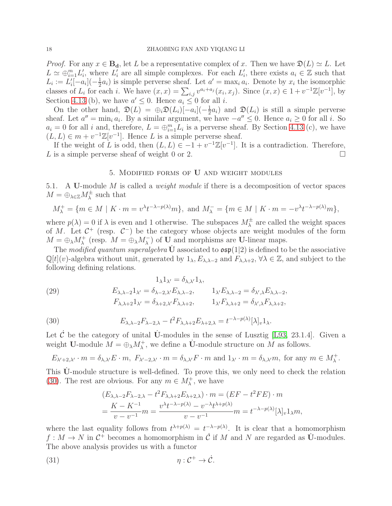*Proof.* For any  $x \in \mathbf{B_d}$ , let L be a representative complex of x. Then we have  $\mathfrak{D}(L) \simeq L$ . Let  $L \simeq \bigoplus_{i=1}^m L'_i$ , where  $L'_i$  are all simple complexes. For each  $L'_i$ , there exists  $a_i \in \mathbb{Z}$  such that  $L_i := L'_i[-a_i](-\frac{1}{2})$  $\frac{1}{2}a_i$ ) is simple perverse sheaf. Let  $a' = \max_i a_i$ . Denote by  $x_i$  the isomorphic classes of  $L_i$  for each i. We have  $(x, x) = \sum_{i,j} v^{a_i + a_j}(x_i, x_j)$ . Since  $(x, x) \in 1 + v^{-1}\mathbb{Z}[v^{-1}]$ , by Section [4.13](#page-15-4) (b), we have  $a' \leq 0$ . Hence  $a_i \leq 0$  for all *i*.

On the other hand,  $\mathfrak{D}(L) = \bigoplus_i \mathfrak{D}(L_i)[-a_i](-\frac{1}{2})$  $\frac{1}{2}a_i$ ) and  $\mathfrak{D}(L_i)$  is still a simple perverse sheaf. Let  $a'' = \min_i a_i$ . By a similar argument, we have  $-a'' \leq 0$ . Hence  $a_i \geq 0$  for all i. So  $a_i = 0$  for all i and, therefore,  $L = \bigoplus_{i=1}^m L_i$  is a perverse sheaf. By Section [4.13](#page-15-4) (c), we have  $(L, L) \in m + v^{-1}\mathbb{Z}[v^{-1}]$ . Hence L is a simple perverse sheaf.

<span id="page-17-0"></span>If the weight of L is odd, then  $(L, L) \in -1 + v^{-1} \mathbb{Z}[v^{-1}]$ . It is a contradiction. Therefore, L is a simple perverse sheaf of weight 0 or 2.

## 5. Modified forms of U and weight modules

5.1. A U-module  $M$  is called a *weight module* if there is a decomposition of vector spaces  $M = \bigoplus_{\lambda \in \mathbb{Z}} M_{\lambda}^{\pm}$  such that

$$
M_{\lambda}^{+} = \{ m \in M \mid K \cdot m = v^{\lambda} t^{-\lambda - p(\lambda)} m \}, \text{ and } M_{\lambda}^{-} = \{ m \in M \mid K \cdot m = -v^{\lambda} t^{-\lambda - p(\lambda)} m \},
$$

where  $p(\lambda) = 0$  if  $\lambda$  is even and 1 otherwise. The subspaces  $M^{\pm}_{\lambda}$  are called the weight spaces of M. Let  $\mathcal{C}^+$  (resp.  $\mathcal{C}^-$ ) be the category whose objects are weight modules of the form  $M = \bigoplus_{\lambda} M_{\lambda}^{+}$  (resp.  $M = \bigoplus_{\lambda} M_{\lambda}^{-}$ ) of **U** and morphisms are **U**-linear maps.

The modified quantum superalgebra U associated to  $\mathfrak{osp}(1|2)$  is defined to be the associative  $\mathbb{Q}[t](v)$ -algebra without unit, generated by  $1_{\lambda}$ ,  $E_{\lambda,\lambda-2}$  and  $F_{\lambda,\lambda+2}$ ,  $\forall \lambda \in \mathbb{Z}$ , and subject to the following defining relations.

<span id="page-17-3"></span>(29) 
$$
L_{\lambda,\lambda-2}1_{\lambda'} = \delta_{\lambda,\lambda'}1_{\lambda},
$$

$$
E_{\lambda,\lambda-2}1_{\lambda'} = \delta_{\lambda-2,\lambda'}E_{\lambda,\lambda-2}, \qquad 1_{\lambda'}E_{\lambda,\lambda-2} = \delta_{\lambda',\lambda}E_{\lambda,\lambda-2},
$$

$$
F_{\lambda,\lambda+2}1_{\lambda'} = \delta_{\lambda+2,\lambda'}F_{\lambda,\lambda+2}, \qquad 1_{\lambda'}F_{\lambda,\lambda+2} = \delta_{\lambda',\lambda}F_{\lambda,\lambda+2},
$$

<span id="page-17-1"></span>(30) 
$$
E_{\lambda,\lambda-2}F_{\lambda-2,\lambda}-t^2F_{\lambda,\lambda+2}E_{\lambda+2,\lambda}=t^{-\lambda-p(\lambda)}[\lambda]_v1_\lambda.
$$

Let  $\dot{\mathcal{C}}$  be the category of unital  $\dot{\mathbf{U}}$ -modules in the sense of Lusztig [\[L93,](#page-20-2) 23.1.4]. Given a weight U-module  $M = \bigoplus_{\lambda} M_{\lambda}^{+}$ , we define a U-module structure on M as follows.

 $E_{\lambda'+2,\lambda'}\cdot m=\delta_{\lambda,\lambda'}E\cdot m, \ F_{\lambda'-2,\lambda'}\cdot m=\delta_{\lambda,\lambda'}F\cdot m \text{ and } 1_{\lambda'}\cdot m=\delta_{\lambda,\lambda'}m, \text{ for any } m\in M^+_{\lambda}.$ 

This  $\dot{\mathbf{U}}$ -module structure is well-defined. To prove this, we only need to check the relation [\(30\)](#page-17-1). The rest are obvious. For any  $m \in M_\lambda^+$ , we have

<span id="page-17-2"></span>
$$
(E_{\lambda,\lambda-2}F_{\lambda-2,\lambda}-t^2F_{\lambda,\lambda+2}E_{\lambda+2,\lambda})\cdot m = (EF - t^2FE)\cdot m
$$
  
= 
$$
\frac{K-K^{-1}}{v-v^{-1}}m = \frac{v^{\lambda}t^{-\lambda-p(\lambda)} - v^{-\lambda}t^{\lambda+p(\lambda)}}{v-v^{-1}}m = t^{-\lambda-p(\lambda)}[\lambda]_v 1_{\lambda}m,
$$

where the last equality follows from  $t^{\lambda+p(\lambda)} = t^{-\lambda-p(\lambda)}$ . It is clear that a homomorphism  $f: M \to N$  in  $\mathcal{C}^+$  becomes a homomorphism in  $\mathcal{C}$  if M and N are regarded as U-modules. The above analysis provides us with a functor

(31) 
$$
\eta: \mathcal{C}^+ \to \dot{\mathcal{C}}.
$$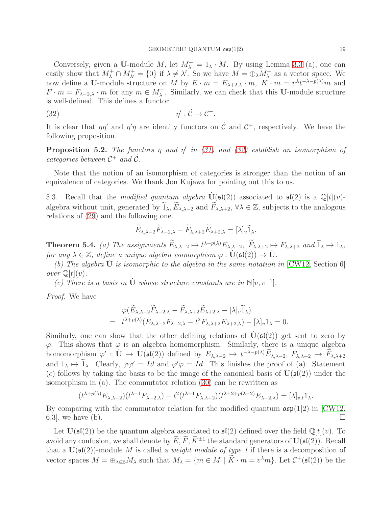Conversely, given a U-module M, let  $M_{\lambda}^+ = 1_{\lambda} \cdot M$ . By using Lemma [3.3](#page-6-0) (a), one can easily show that  $M_{\lambda}^+ \cap M_{\lambda'}^+ = \{0\}$  if  $\lambda \neq \lambda'$ . So we have  $M = \bigoplus_{\lambda} M_{\lambda}^+$  as a vector space. We now define a U-module structure on M by  $E \cdot m = E_{\lambda+2,\lambda} \cdot m$ ,  $K \cdot m = v^{\lambda} t^{-\lambda - p(\lambda)} m$  and  $F \cdot m = F_{\lambda-2,\lambda} \cdot m$  for any  $m \in M_{\lambda}^{+}$ . Similarly, we can check that this U-module structure is well-defined. This defines a functor

$$
\eta' : \dot{\mathcal{C}} \to \mathcal{C}^+.
$$

It is clear that  $\eta \eta'$  and  $\eta' \eta$  are identity functors on  $\dot{\mathcal{C}}$  and  $\mathcal{C}^+$ , respectively. We have the following proposition.

<span id="page-18-2"></span>**Proposition 5.2.** The functors  $\eta$  and  $\eta'$  in [\(31\)](#page-17-2) and [\(32\)](#page-18-0) establish an isomorphism of categories between  $C^+$  and  $\dot{C}$ .

Note that the notion of an isomorphism of categories is stronger than the notion of an equivalence of categories. We thank Jon Kujawa for pointing out this to us.

5.3. Recall that the modified quantum algebra  $\mathbf{U}(\mathfrak{sl}(2))$  associated to  $\mathfrak{sl}(2)$  is a  $\mathbb{Q}[t](v)$ algebra without unit, generated by  $\widetilde{1}_{\lambda}, \widetilde{E}_{\lambda,\lambda-2}$  and  $\widetilde{F}_{\lambda,\lambda+2}$ ,  $\forall \lambda \in \mathbb{Z}$ , subjects to the analogous relations of [\(29\)](#page-17-3) and the following one.

<span id="page-18-0"></span>
$$
\widetilde{E}_{\lambda,\lambda-2}\widetilde{F}_{\lambda-2,\lambda}-\widetilde{F}_{\lambda,\lambda+2}\widetilde{E}_{\lambda+2,\lambda}=[\lambda]_v\widetilde{1}_{\lambda}.
$$

<span id="page-18-1"></span>**Theorem 5.4.** (a) The assignments  $E_{\lambda,\lambda-2} \mapsto t^{\lambda+p(\lambda)} E_{\lambda,\lambda-2}$ ,  $F_{\lambda,\lambda+2} \mapsto F_{\lambda,\lambda+2}$  and  $\tilde{1}_{\lambda} \mapsto 1_{\lambda}$ , for any  $\lambda \in \mathbb{Z}$ , define a unique algebra isomorphism  $\varphi : \dot{\mathbf{U}}(\mathfrak{sl}(2)) \to \dot{\mathbf{U}}$ .

(b) The algebra  $\dot{\mathbf{U}}$  is isomorphic to the algebra in the same notation in [\[CW12,](#page-19-10) Section 6] over  $\mathbb{Q}[t](v)$ .

(c) There is a basis in  $\dot{U}$  whose structure constants are in  $\mathbb{N}[v, v^{-1}]$ .

Proof. We have

$$
\varphi(\widetilde{E}_{\lambda,\lambda-2}\widetilde{F}_{\lambda-2,\lambda}-\widetilde{F}_{\lambda,\lambda+2}\widetilde{E}_{\lambda+2,\lambda}-[\lambda]_v\widetilde{1}_{\lambda})
$$
  
=  $t^{\lambda+p(\lambda)}(E_{\lambda,\lambda-2}F_{\lambda-2,\lambda}-t^2F_{\lambda,\lambda+2}E_{\lambda+2,\lambda})-[\lambda]_v1_{\lambda}=0.$ 

Similarly, one can show that the other defining relations of  $\mathbf{U}(\mathfrak{sl}(2))$  get sent to zero by  $\varphi$ . This shows that  $\varphi$  is an algebra homomorphism. Similarly, there is a unique algebra homomorphism  $\varphi' : \dot{\mathbf{U}} \to \dot{\mathbf{U}}(\mathfrak{sl}(2))$  defined by  $E_{\lambda,\lambda-2} \mapsto t^{-\lambda-p(\lambda)} \widetilde{E}_{\lambda,\lambda-2}, F_{\lambda,\lambda+2} \mapsto \widetilde{F}_{\lambda,\lambda+2}$ and  $1_\lambda \mapsto \tilde{1}_\lambda$ . Clearly,  $\varphi \varphi' = Id$  and  $\varphi' \varphi = Id$ . This finishes the proof of (a). Statement (c) follows by taking the basis to be the image of the canonical basis of  $\dot{U}(\mathfrak{sl}(2))$  under the isomorphism in (a). The commutator relation [\(30\)](#page-17-1) can be rewritten as

$$
(t^{\lambda+p(\lambda)}E_{\lambda,\lambda-2})(t^{\lambda-1}F_{\lambda-2,\lambda})-t^2(t^{\lambda+1}F_{\lambda,\lambda+2})(t^{\lambda+2+p(\lambda+2)}E_{\lambda+2,\lambda})=[\lambda]_{v,t}1_{\lambda}.
$$

By comparing with the commutator relation for the modified quantum  $\mathfrak{osp}(1|2)$  in [\[CW12,](#page-19-10) 6.3], we have (b). 6.3], we have (b).

Let  $U(\mathfrak{sl}(2))$  be the quantum algebra associated to  $\mathfrak{sl}(2)$  defined over the field  $\mathbb{Q}[t](v)$ . To avoid any confusion, we shall denote by  $\widetilde{E}, \widetilde{F}, \widetilde{K}^{\pm 1}$  the standard generators of  $\mathbf{U}(\mathfrak{sl}(2))$ . Recall that a  $U(\mathfrak{sl}(2))$ -module M is called a *weight module of type 1* if there is a decomposition of vector spaces  $M = \bigoplus_{\lambda \in \mathbb{Z}} M_{\lambda}$  such that  $M_{\lambda} = \{m \in M \mid K \cdot m = v^{\lambda}m\}$ . Let  $\mathcal{C}^+(\mathfrak{sl}(2))$  be the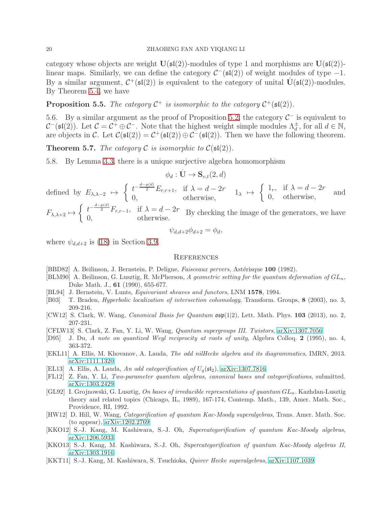category whose objects are weight  $\mathbf{U}(\mathfrak{sl}(2))$ -modules of type 1 and morphisms are  $\mathbf{U}(\mathfrak{sl}(2))$ linear maps. Similarly, we can define the category  $C^-(\mathfrak{sl}(2))$  of weight modules of type  $-1$ . By a similar argument,  $C^+(\mathfrak{sl}(2))$  is equivalent to the category of unital  $\dot{\mathbf{U}}(\mathfrak{sl}(2))$ -modules. By Theorem [5.4,](#page-18-1) we have

**Proposition 5.5.** The category  $C^+$  is isomorphic to the category  $C^+$  ( $\mathfrak{sl}(2)$ ).

5.6. By a similar argument as the proof of Proposition [5.2,](#page-18-2) the category  $\mathcal{C}^-$  is equivalent to  $\mathcal{C}^-(\mathfrak{sl}(2))$ . Let  $\mathcal{C} = \mathcal{C}^+ \oplus \mathcal{C}^-$ . Note that the highest weight simple modules  $\Lambda_d^{\pm}$ , for all  $d \in \mathbb{N}$ , are objects in C. Let  $C(\mathfrak{sl}(2)) = C^+(\mathfrak{sl}(2)) \oplus C^-(\mathfrak{sl}(2))$ . Then we have the following theorem.

**Theorem 5.7.** The category C is isomorphic to  $C(\mathfrak{sl}(2))$ .

5.8. By Lemma [3.3,](#page-6-0) there is a unique surjective algebra homomorphism

$$
\phi_d : \dot{\mathbf{U}} \to \mathbf{S}_{v,t}(2,d)
$$

defined by  $E_{\lambda,\lambda-2} \mapsto$  $\int_{0}^{1} t^{-\frac{d-p(d)}{2}} E_{r,r+1}$ , if  $\lambda = d-2r$  $\begin{array}{ccc}\n0, & \text{if } \lambda = a - 2i \\
0, & \text{otherwise,}\n\end{array}$  $\int 1_r$ , if  $\lambda = d - 2r$ 0, otherwise, and  $F_{\lambda,\lambda+2} \mapsto$  $\int_{0}^{1} t^{-\frac{d-p(d)}{2}} F_{r,r-1}, \text{ if } \lambda = d-2r$ 0, otherwise. By checking the image of the generators, we have

$$
\psi_{d,d+2}\phi_{d+2}=\phi_d,
$$

where  $\psi_{d,d+2}$  is [\(18\)](#page-9-2) in Section [3.9.](#page-9-4)

#### <span id="page-19-11"></span>**REFERENCES**

- <span id="page-19-12"></span>[BBD82] A. Beilinson, J. Bernstein, P. Deligne, *Faisceaux pervers*, Astérisque 100 (1982).
- <span id="page-19-8"></span>[BLM90] A. Beilinson, G. Lusztig, R. McPherson, A geometric setting for the quantum deformation of  $GL_n$ , Duke Math. J., 61 (1990), 655-677.
- <span id="page-19-14"></span>[BL94] J. Bernstein, V. Lunts, Equivariant sheaves and functors, LNM 1578, 1994.
- <span id="page-19-15"></span>[B03] T. Braden, Hyperbolic localization of intersection cohomology, Transform. Groups, 8 (2003), no. 3, 209-216.
- <span id="page-19-10"></span>[CW12] S. Clark, W. Wang, *Canonical Basis for Quantum*  $\mathfrak{osp}(1|2)$ , Lett. Math. Phys. 103 (2013), no. 2, 207-231.
- <span id="page-19-7"></span>[CFLW13] S. Clark, Z. Fan, Y. Li, W. Wang, Quantum supergroups III. Twistors, [arXiv:1307.7056.](http://arxiv.org/abs/1307.7056)
- <span id="page-19-13"></span>[D95] J. Du, A note on quantized Weyl reciprocity at roots of unity, Algebra Colloq. 2 (1995), no. 4, 363-372.
- <span id="page-19-1"></span>[EKL11] A. Ellis, M. Khovanov, A. Lauda, The odd nilHecke algebra and its diagrammatics, IMRN, 2013. [arXiv:1111.1320.](http://arxiv.org/abs/1111.1320)
- <span id="page-19-3"></span>[EL13] A. Ellis, A. Lauda, An odd categorification of  $U_q(\mathfrak{sl}_2)$ , [arXiv:1307.7816.](http://arxiv.org/abs/1307.7816)
- <span id="page-19-6"></span>[FL12] Z. Fan, Y. Li, Two-parameter quantum algebras, canonical bases and categorifications, submitted. [arXiv:1303.2429.](http://arxiv.org/abs/1303.2429)
- <span id="page-19-9"></span>[GL92] I. Grojnowski, G. Lusztig, On bases of irreducible representations of quantum  $GL_n$ . Kazhdan-Lusztig theory and related topics (Chicago, IL, 1989), 167-174, Contemp. Math., 139, Amer. Math. Soc., Providence, RI, 1992.
- <span id="page-19-2"></span>[HW12] D. Hill, W. Wang, Categorification of quantum Kac-Moody superalgebras, Trans. Amer. Math. Soc. (to appear), [arXiv:1202.2769.](http://arxiv.org/abs/1202.2769)
- <span id="page-19-4"></span>[KKO12] S.-J. Kang, M. Kashiwara, S.-J. Oh, Supercategorification of quantum Kac-Moody algebras, [arXiv:1206.5933.](http://arxiv.org/abs/1206.5933)
- <span id="page-19-5"></span>[KKO13] S.-J. Kang, M. Kashiwara, S.-J. Oh, Supercategorification of quantum Kac-Moody algebras II, [arXiv:1303.1916.](http://arxiv.org/abs/1303.1916)
- <span id="page-19-0"></span>[KKT11] S.-J. Kang, M. Kashiwara, S. Tsuchioka, Quiver Hecke superalgebras, [arXiv:1107.1039.](http://arxiv.org/abs/1107.1039)